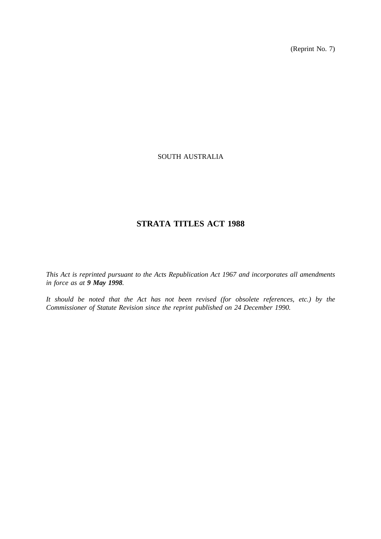(Reprint No. 7)

# SOUTH AUSTRALIA

# **STRATA TITLES ACT 1988**

*This Act is reprinted pursuant to the Acts Republication Act 1967 and incorporates all amendments in force as at 9 May 1998.*

*It should be noted that the Act has not been revised (for obsolete references, etc.) by the Commissioner of Statute Revision since the reprint published on 24 December 1990.*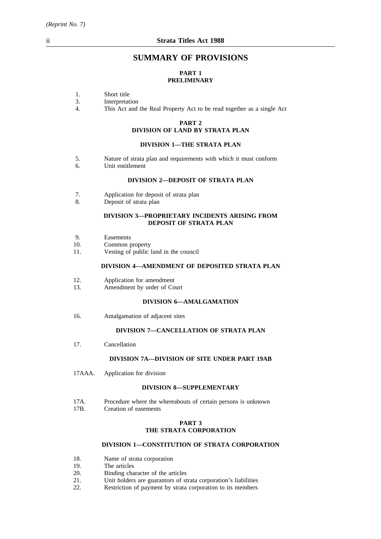# **SUMMARY OF PROVISIONS**

# **PART 1 PRELIMINARY**

- 1. Short title<br>3. Interpretat
- 3. Interpretation<br>4. This Act and
- This Act and the Real Property Act to be read together as a single Act

# **PART 2**

# **DIVISION OF LAND BY STRATA PLAN**

## **DIVISION 1—THE STRATA PLAN**

- 5. Nature of strata plan and requirements with which it must conform<br>6. Unit entitlement
- Unit entitlement

## **DIVISION 2—DEPOSIT OF STRATA PLAN**

- 7. Application for deposit of strata plan
- 8. Deposit of strata plan

## **DIVISION 3—PROPRIETARY INCIDENTS ARISING FROM DEPOSIT OF STRATA PLAN**

- 9. Easements
- 10. Common property
- 11. Vesting of public land in the council

## **DIVISION 4—AMENDMENT OF DEPOSITED STRATA PLAN**

- 12. Application for amendment
- 13. Amendment by order of Court

## **DIVISION 6—AMALGAMATION**

16. Amalgamation of adjacent sites

## **DIVISION 7—CANCELLATION OF STRATA PLAN**

17. Cancellation

## **DIVISION 7A—DIVISION OF SITE UNDER PART 19AB**

17AAA. Application for division

## **DIVISION 8—SUPPLEMENTARY**

- 17A. Procedure where the whereabouts of certain persons is unknown<br>17B. Creation of easements
- Creation of easements

## **PART 3 THE STRATA CORPORATION**

# **DIVISION 1—CONSTITUTION OF STRATA CORPORATION**

- 18. Name of strata corporation<br>19. The articles
- 19. The articles<br>20. Binding cha
- 20. Binding character of the articles<br>21. Unit holders are guarantors of st
- 21. Unit holders are guarantors of strata corporation's liabilities<br>22. Restriction of payment by strata corporation to its members
- Restriction of payment by strata corporation to its members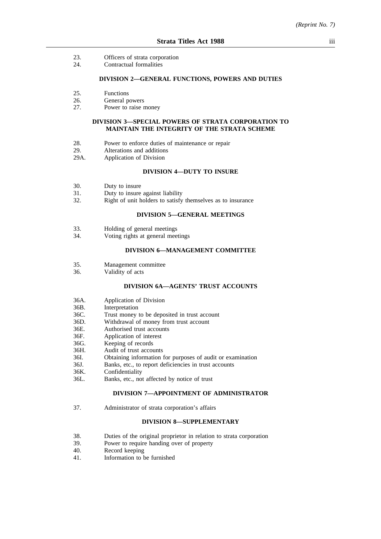- 23. Officers of strata corporation
- 24. Contractual formalities

#### **DIVISION 2—GENERAL FUNCTIONS, POWERS AND DUTIES**

- 25. Functions
- 26. General powers<br>
27. Power to raise r
- Power to raise money

## **DIVISION 3—SPECIAL POWERS OF STRATA CORPORATION TO MAINTAIN THE INTEGRITY OF THE STRATA SCHEME**

- 28. Power to enforce duties of maintenance or repair
- 29. Alterations and additions
- 29A. Application of Division

## **DIVISION 4—DUTY TO INSURE**

- 30. Duty to insure
- 31. Duty to insure against liability
- 32. Right of unit holders to satisfy themselves as to insurance

## **DIVISION 5—GENERAL MEETINGS**

- 33. Holding of general meetings<br>34 Voting rights at general mee
- Voting rights at general meetings

## **DIVISION 6—MANAGEMENT COMMITTEE**

- 35. Management committee
- 36. Validity of acts

#### **DIVISION 6A—AGENTS' TRUST ACCOUNTS**

- 36A. Application of Division<br>36B. Interpretation
- **Interpretation**
- 36C. Trust money to be deposited in trust account
- 36D. Withdrawal of money from trust account
- 36E. Authorised trust accounts
- 36F. Application of interest
- 36G. Keeping of records
- 36H. Audit of trust accounts
- 36I. Obtaining information for purposes of audit or examination
- 36J. Banks, etc., to report deficiencies in trust accounts
- 36K. Confidentiality
- 36L. Banks, etc., not affected by notice of trust

#### **DIVISION 7—APPOINTMENT OF ADMINISTRATOR**

37. Administrator of strata corporation's affairs

#### **DIVISION 8—SUPPLEMENTARY**

- 38. Duties of the original proprietor in relation to strata corporation
- 39. Power to require handing over of property
- 40. Record keeping
- 41. Information to be furnished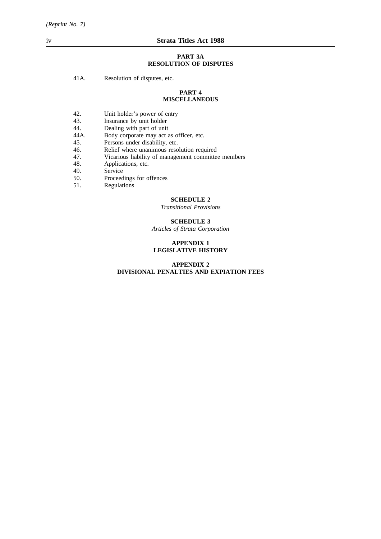#### **PART 3A RESOLUTION OF DISPUTES**

41A. Resolution of disputes, etc.

#### **PART 4 MISCELLANEOUS**

- 42. Unit holder's power of entry<br>43. Insurance by unit holder
- 43. Insurance by unit holder<br>44. Dealing with part of unit
- 44. Dealing with part of unit<br>44A. Body corporate may act a
- 44A. Body corporate may act as officer, etc.<br>45. Persons under disability, etc.
- 
- 45. Persons under disability, etc.<br>46. Relief where unanimous reso Relief where unanimous resolution required
- 47. Vicarious liability of management committee members
- 48. Applications, etc.
- 
- 49. Service<br>50. Proceed 50. Proceedings for offences<br>51. Regulations
- Regulations

## **SCHEDULE 2**

*Transitional Provisions*

# **SCHEDULE 3**

*Articles of Strata Corporation*

## **APPENDIX 1 LEGISLATIVE HISTORY**

## **APPENDIX 2 DIVISIONAL PENALTIES AND EXPIATION FEES**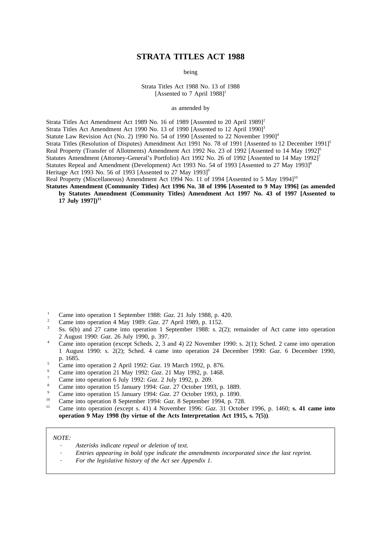# **STRATA TITLES ACT 1988**

being

Strata Titles Act 1988 No. 13 of 1988 [Assented to 7 April  $1988$ ]<sup>1</sup>

as amended by

Strata Titles Act Amendment Act 1989 No. 16 of 1989 [Assented to 20 April 1989]<sup>2</sup> Strata Titles Act Amendment Act 1990 No. 13 of 1990 [Assented to 12 April 1990]<sup>3</sup> Statute Law Revision Act (No. 2) 1990 No. 54 of 1990 [Assented to 22 November 1990]<sup>4</sup> Strata Titles (Resolution of Disputes) Amendment Act 1991 No. 78 of 1991 [Assented to 12 December 1991]<sup>5</sup> Real Property (Transfer of Allotments) Amendment Act 1992 No. 23 of 1992 [Assented to 14 May 1992]<sup>6</sup> Statutes Amendment (Attorney-General's Portfolio) Act 1992 No. 26 of 1992 [Assented to 14 May 1992]<sup>7</sup> Statutes Repeal and Amendment (Development) Act 1993 No. 54 of 1993 [Assented to 27 May 1993]<sup>8</sup> Heritage Act 1993 No. 56 of 1993 [Assented to 27 May 1993]<sup>9</sup>

Real Property (Miscellaneous) Amendment Act 1994 No. 11 of 1994 [Assented to 5 May 1994]<sup>10</sup>

**Statutes Amendment (Community Titles) Act 1996 No. 38 of 1996 [Assented to 9 May 1996] (as amended by Statutes Amendment (Community Titles) Amendment Act 1997 No. 43 of 1997 [Assented to 17 July 1997**])<sup>11</sup>

- <sup>1</sup> Came into operation 1 September 1988: *Gaz*. 21 July 1988, p. 420.
- <sup>2</sup> Came into operation 4 May 1989: *Gaz*. 27 April 1989, p. 1152.
- Ss. 6(b) and 27 came into operation 1 September 1988: s. 2(2); remainder of Act came into operation 2 August 1990: *Gaz*. 26 July 1990, p. 397.
- <sup>4</sup> Came into operation (except Scheds. 2, 3 and 4) 22 November 1990: s. 2(1); Sched. 2 came into operation 1 August 1990: s. 2(2); Sched. 4 came into operation 24 December 1990: *Gaz*. 6 December 1990, p. 1685.
- <sup>5</sup> Came into operation 2 April 1992: *Gaz*. 19 March 1992, p. 876.
- <sup>6</sup> Came into operation 21 May 1992: *Gaz*. 21 May 1992, p. 1468.
- <sup>7</sup> Came into operation 6 July 1992: *Gaz*. 2 July 1992, p. 209.
- <sup>8</sup> Came into operation 15 January 1994: *Gaz*. 27 October 1993, p. 1889.
- <sup>9</sup> Came into operation 15 January 1994: *Gaz*. 27 October 1993, p. 1890.
- <sup>10</sup> Came into operation 8 September 1994: *Gaz*. 8 September 1994, p. 728.
- <sup>11</sup> Came into operation (except s. 41) 4 November 1996: *Gaz*. 31 October 1996, p. 1460; **s. 41 came into operation 9 May 1998 (by virtue of the Acts Interpretation Act 1915, s. 7(5))**.

#### *NOTE:*

- *Asterisks indicate repeal or deletion of text.*
- *Entries appearing in bold type indicate the amendments incorporated since the last reprint.*
- *For the legislative history of the Act see Appendix 1.*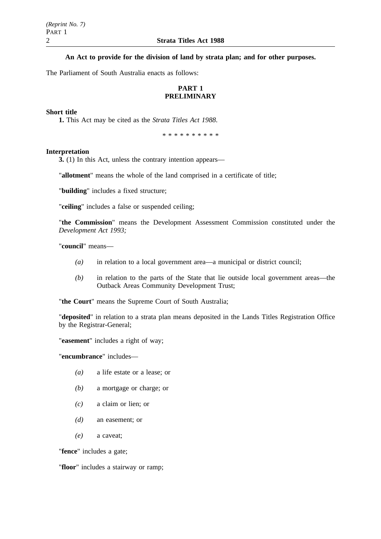**An Act to provide for the division of land by strata plan; and for other purposes.**

The Parliament of South Australia enacts as follows:

# **PART 1 PRELIMINARY**

## **Short title**

**1.** This Act may be cited as the *Strata Titles Act 1988*.

\*\*\*\*\*\*\*\*\*\*

## **Interpretation**

**3.** (1) In this Act, unless the contrary intention appears—

"**allotment**" means the whole of the land comprised in a certificate of title;

"**building**" includes a fixed structure;

"**ceiling**" includes a false or suspended ceiling;

"**the Commission**" means the Development Assessment Commission constituted under the *Development Act 1993;*

"**council**" means—

- *(a)* in relation to a local government area—a municipal or district council;
- *(b)* in relation to the parts of the State that lie outside local government areas—the Outback Areas Community Development Trust;

"**the Court**" means the Supreme Court of South Australia;

"**deposited**" in relation to a strata plan means deposited in the Lands Titles Registration Office by the Registrar-General;

"**easement**" includes a right of way;

"**encumbrance**" includes—

- *(a)* a life estate or a lease; or
- *(b)* a mortgage or charge; or
- *(c)* a claim or lien; or
- *(d)* an easement; or
- *(e)* a caveat;

"**fence**" includes a gate;

"**floor**" includes a stairway or ramp;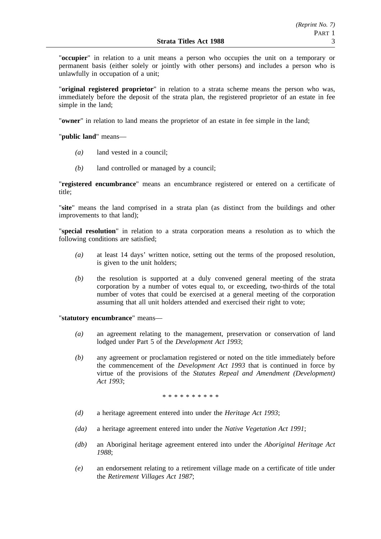"**occupier**" in relation to a unit means a person who occupies the unit on a temporary or permanent basis (either solely or jointly with other persons) and includes a person who is unlawfully in occupation of a unit;

"**original registered proprietor**" in relation to a strata scheme means the person who was, immediately before the deposit of the strata plan, the registered proprietor of an estate in fee simple in the land;

"**owner**" in relation to land means the proprietor of an estate in fee simple in the land;

"**public land**" means—

- *(a)* land vested in a council;
- *(b)* land controlled or managed by a council;

"**registered encumbrance**" means an encumbrance registered or entered on a certificate of title;

"**site**" means the land comprised in a strata plan (as distinct from the buildings and other improvements to that land);

"**special resolution**" in relation to a strata corporation means a resolution as to which the following conditions are satisfied;

- *(a)* at least 14 days' written notice, setting out the terms of the proposed resolution, is given to the unit holders;
- *(b)* the resolution is supported at a duly convened general meeting of the strata corporation by a number of votes equal to, or exceeding, two-thirds of the total number of votes that could be exercised at a general meeting of the corporation assuming that all unit holders attended and exercised their right to vote;

"**statutory encumbrance**" means—

- *(a)* an agreement relating to the management, preservation or conservation of land lodged under Part 5 of the *Development Act 1993*;
- *(b)* any agreement or proclamation registered or noted on the title immediately before the commencement of the *Development Act 1993* that is continued in force by virtue of the provisions of the *Statutes Repeal and Amendment (Development) Act 1993*;

\*\*\*\*\*\*\*\*\*\*

- *(d)* a heritage agreement entered into under the *Heritage Act 1993*;
- *(da)* a heritage agreement entered into under the *Native Vegetation Act 1991*;
- *(db)* an Aboriginal heritage agreement entered into under the *Aboriginal Heritage Act 1988*;
- *(e)* an endorsement relating to a retirement village made on a certificate of title under the *Retirement Villages Act 1987*;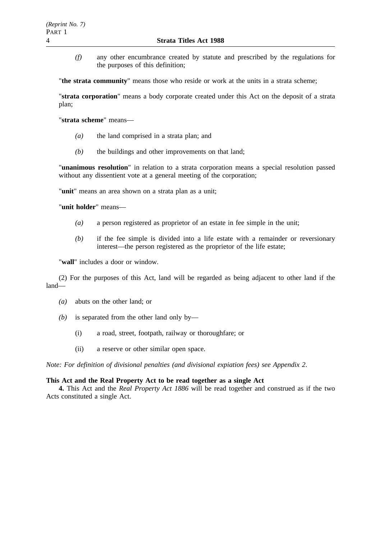*(f)* any other encumbrance created by statute and prescribed by the regulations for the purposes of this definition;

"**the strata community**" means those who reside or work at the units in a strata scheme;

"**strata corporation**" means a body corporate created under this Act on the deposit of a strata plan;

"**strata scheme**" means—

- *(a)* the land comprised in a strata plan; and
- *(b)* the buildings and other improvements on that land;

"**unanimous resolution**" in relation to a strata corporation means a special resolution passed without any dissentient vote at a general meeting of the corporation;

"**unit**" means an area shown on a strata plan as a unit;

"**unit holder**" means—

- *(a)* a person registered as proprietor of an estate in fee simple in the unit;
- *(b)* if the fee simple is divided into a life estate with a remainder or reversionary interest—the person registered as the proprietor of the life estate;

"**wall**" includes a door or window.

(2) For the purposes of this Act, land will be regarded as being adjacent to other land if the land—

- *(a)* abuts on the other land; or
- *(b)* is separated from the other land only by—
	- (i) a road, street, footpath, railway or thoroughfare; or
	- (ii) a reserve or other similar open space.

*Note: For definition of divisional penalties (and divisional expiation fees) see Appendix 2*.

## **This Act and the Real Property Act to be read together as a single Act**

**4.** This Act and the *Real Property Act 1886* will be read together and construed as if the two Acts constituted a single Act.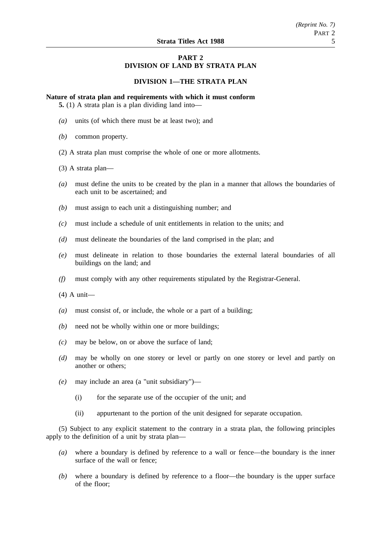# **PART 2 DIVISION OF LAND BY STRATA PLAN**

## **DIVISION 1—THE STRATA PLAN**

**Nature of strata plan and requirements with which it must conform**

**5.** (1) A strata plan is a plan dividing land into—

- *(a)* units (of which there must be at least two); and
- *(b)* common property.
- (2) A strata plan must comprise the whole of one or more allotments.
- (3) A strata plan—
- *(a)* must define the units to be created by the plan in a manner that allows the boundaries of each unit to be ascertained; and
- *(b)* must assign to each unit a distinguishing number; and
- *(c)* must include a schedule of unit entitlements in relation to the units; and
- *(d)* must delineate the boundaries of the land comprised in the plan; and
- *(e)* must delineate in relation to those boundaries the external lateral boundaries of all buildings on the land; and
- *(f)* must comply with any other requirements stipulated by the Registrar-General.
- (4) A unit—
- *(a)* must consist of, or include, the whole or a part of a building;
- *(b)* need not be wholly within one or more buildings;
- *(c)* may be below, on or above the surface of land;
- *(d)* may be wholly on one storey or level or partly on one storey or level and partly on another or others;
- *(e)* may include an area (a "unit subsidiary")—
	- (i) for the separate use of the occupier of the unit; and
	- (ii) appurtenant to the portion of the unit designed for separate occupation.

(5) Subject to any explicit statement to the contrary in a strata plan, the following principles apply to the definition of a unit by strata plan—

- *(a)* where a boundary is defined by reference to a wall or fence—the boundary is the inner surface of the wall or fence;
- *(b)* where a boundary is defined by reference to a floor—the boundary is the upper surface of the floor;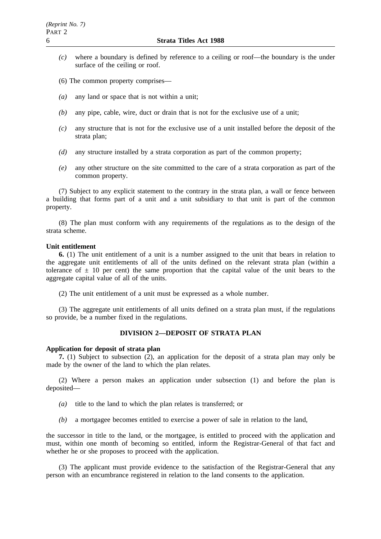- *(c)* where a boundary is defined by reference to a ceiling or roof—the boundary is the under surface of the ceiling or roof.
- (6) The common property comprises—
- *(a)* any land or space that is not within a unit;
- *(b)* any pipe, cable, wire, duct or drain that is not for the exclusive use of a unit;
- *(c)* any structure that is not for the exclusive use of a unit installed before the deposit of the strata plan;
- *(d)* any structure installed by a strata corporation as part of the common property;
- *(e)* any other structure on the site committed to the care of a strata corporation as part of the common property.

(7) Subject to any explicit statement to the contrary in the strata plan, a wall or fence between a building that forms part of a unit and a unit subsidiary to that unit is part of the common property.

(8) The plan must conform with any requirements of the regulations as to the design of the strata scheme.

#### **Unit entitlement**

**6.** (1) The unit entitlement of a unit is a number assigned to the unit that bears in relation to the aggregate unit entitlements of all of the units defined on the relevant strata plan (within a tolerance of  $\pm$  10 per cent) the same proportion that the capital value of the unit bears to the aggregate capital value of all of the units.

(2) The unit entitlement of a unit must be expressed as a whole number.

(3) The aggregate unit entitlements of all units defined on a strata plan must, if the regulations so provide, be a number fixed in the regulations.

# **DIVISION 2—DEPOSIT OF STRATA PLAN**

## **Application for deposit of strata plan**

**7.** (1) Subject to subsection (2), an application for the deposit of a strata plan may only be made by the owner of the land to which the plan relates.

(2) Where a person makes an application under subsection (1) and before the plan is deposited—

- *(a)* title to the land to which the plan relates is transferred; or
- *(b)* a mortgagee becomes entitled to exercise a power of sale in relation to the land,

the successor in title to the land, or the mortgagee, is entitled to proceed with the application and must, within one month of becoming so entitled, inform the Registrar-General of that fact and whether he or she proposes to proceed with the application.

(3) The applicant must provide evidence to the satisfaction of the Registrar-General that any person with an encumbrance registered in relation to the land consents to the application.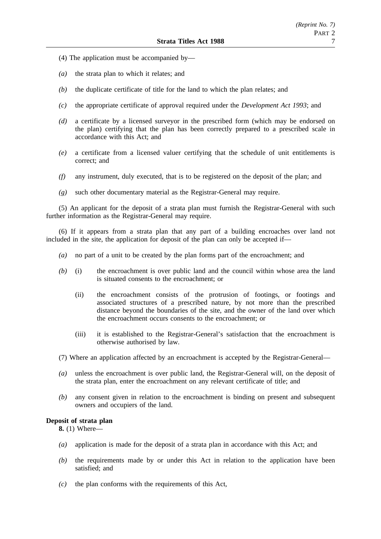- (4) The application must be accompanied by—
- *(a)* the strata plan to which it relates; and
- *(b)* the duplicate certificate of title for the land to which the plan relates; and
- *(c)* the appropriate certificate of approval required under the *Development Act 1993*; and
- *(d)* a certificate by a licensed surveyor in the prescribed form (which may be endorsed on the plan) certifying that the plan has been correctly prepared to a prescribed scale in accordance with this Act; and
- *(e)* a certificate from a licensed valuer certifying that the schedule of unit entitlements is correct; and
- *(f)* any instrument, duly executed, that is to be registered on the deposit of the plan; and
- *(g)* such other documentary material as the Registrar-General may require.

(5) An applicant for the deposit of a strata plan must furnish the Registrar-General with such further information as the Registrar-General may require.

(6) If it appears from a strata plan that any part of a building encroaches over land not included in the site, the application for deposit of the plan can only be accepted if—

- *(a)* no part of a unit to be created by the plan forms part of the encroachment; and
- *(b)* (i) the encroachment is over public land and the council within whose area the land is situated consents to the encroachment; or
	- (ii) the encroachment consists of the protrusion of footings, or footings and associated structures of a prescribed nature, by not more than the prescribed distance beyond the boundaries of the site, and the owner of the land over which the encroachment occurs consents to the encroachment; or
	- (iii) it is established to the Registrar-General's satisfaction that the encroachment is otherwise authorised by law.
- (7) Where an application affected by an encroachment is accepted by the Registrar-General—
- *(a)* unless the encroachment is over public land, the Registrar-General will, on the deposit of the strata plan, enter the encroachment on any relevant certificate of title; and
- *(b)* any consent given in relation to the encroachment is binding on present and subsequent owners and occupiers of the land.

## **Deposit of strata plan**

**8.** (1) Where—

- *(a)* application is made for the deposit of a strata plan in accordance with this Act; and
- *(b)* the requirements made by or under this Act in relation to the application have been satisfied; and
- *(c)* the plan conforms with the requirements of this Act,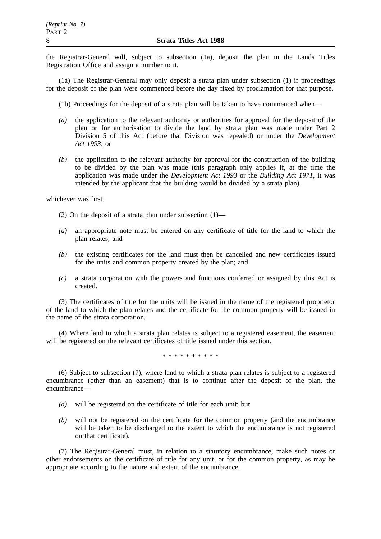the Registrar-General will, subject to subsection (1a), deposit the plan in the Lands Titles Registration Office and assign a number to it.

(1a) The Registrar-General may only deposit a strata plan under subsection (1) if proceedings for the deposit of the plan were commenced before the day fixed by proclamation for that purpose.

- (1b) Proceedings for the deposit of a strata plan will be taken to have commenced when—
- *(a)* the application to the relevant authority or authorities for approval for the deposit of the plan or for authorisation to divide the land by strata plan was made under Part 2 Division 5 of this Act (before that Division was repealed) or under the *Development Act 1993*; or
- *(b)* the application to the relevant authority for approval for the construction of the building to be divided by the plan was made (this paragraph only applies if, at the time the application was made under the *Development Act 1993* or the *Building Act 1971*, it was intended by the applicant that the building would be divided by a strata plan),

whichever was first.

(2) On the deposit of a strata plan under subsection  $(1)$ —

- *(a)* an appropriate note must be entered on any certificate of title for the land to which the plan relates; and
- *(b)* the existing certificates for the land must then be cancelled and new certificates issued for the units and common property created by the plan; and
- *(c)* a strata corporation with the powers and functions conferred or assigned by this Act is created.

(3) The certificates of title for the units will be issued in the name of the registered proprietor of the land to which the plan relates and the certificate for the common property will be issued in the name of the strata corporation.

(4) Where land to which a strata plan relates is subject to a registered easement, the easement will be registered on the relevant certificates of title issued under this section.

\*\*\*\*\*\*\*\*\*\*

(6) Subject to subsection (7), where land to which a strata plan relates is subject to a registered encumbrance (other than an easement) that is to continue after the deposit of the plan, the encumbrance—

- *(a)* will be registered on the certificate of title for each unit; but
- *(b)* will not be registered on the certificate for the common property (and the encumbrance will be taken to be discharged to the extent to which the encumbrance is not registered on that certificate).

(7) The Registrar-General must, in relation to a statutory encumbrance, make such notes or other endorsements on the certificate of title for any unit, or for the common property, as may be appropriate according to the nature and extent of the encumbrance.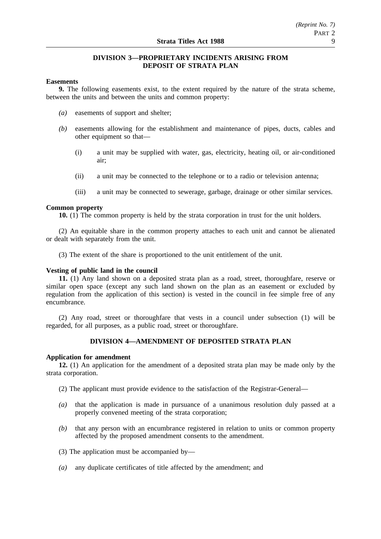# **DIVISION 3—PROPRIETARY INCIDENTS ARISING FROM DEPOSIT OF STRATA PLAN**

## **Easements**

**9.** The following easements exist, to the extent required by the nature of the strata scheme, between the units and between the units and common property:

- *(a)* easements of support and shelter;
- *(b)* easements allowing for the establishment and maintenance of pipes, ducts, cables and other equipment so that—
	- (i) a unit may be supplied with water, gas, electricity, heating oil, or air-conditioned air;
	- (ii) a unit may be connected to the telephone or to a radio or television antenna;
	- (iii) a unit may be connected to sewerage, garbage, drainage or other similar services.

## **Common property**

**10.** (1) The common property is held by the strata corporation in trust for the unit holders.

(2) An equitable share in the common property attaches to each unit and cannot be alienated or dealt with separately from the unit.

(3) The extent of the share is proportioned to the unit entitlement of the unit.

## **Vesting of public land in the council**

**11.** (1) Any land shown on a deposited strata plan as a road, street, thoroughfare, reserve or similar open space (except any such land shown on the plan as an easement or excluded by regulation from the application of this section) is vested in the council in fee simple free of any encumbrance.

(2) Any road, street or thoroughfare that vests in a council under subsection (1) will be regarded, for all purposes, as a public road, street or thoroughfare.

# **DIVISION 4—AMENDMENT OF DEPOSITED STRATA PLAN**

## **Application for amendment**

**12.** (1) An application for the amendment of a deposited strata plan may be made only by the strata corporation.

- (2) The applicant must provide evidence to the satisfaction of the Registrar-General—
- *(a)* that the application is made in pursuance of a unanimous resolution duly passed at a properly convened meeting of the strata corporation;
- *(b)* that any person with an encumbrance registered in relation to units or common property affected by the proposed amendment consents to the amendment.
- (3) The application must be accompanied by—
- *(a)* any duplicate certificates of title affected by the amendment; and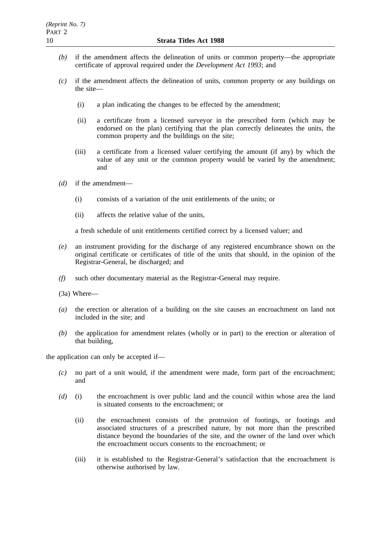- *(b)* if the amendment affects the delineation of units or common property—the appropriate certificate of approval required under the *Development Act 1993*; and
- *(c)* if the amendment affects the delineation of units, common property or any buildings on the site—
	- (i) a plan indicating the changes to be effected by the amendment;
	- (ii) a certificate from a licensed surveyor in the prescribed form (which may be endorsed on the plan) certifying that the plan correctly delineates the units, the common property and the buildings on the site;
	- (iii) a certificate from a licensed valuer certifying the amount (if any) by which the value of any unit or the common property would be varied by the amendment; and
- *(d)* if the amendment—
	- (i) consists of a variation of the unit entitlements of the units; or
	- (ii) affects the relative value of the units,

a fresh schedule of unit entitlements certified correct by a licensed valuer; and

- *(e)* an instrument providing for the discharge of any registered encumbrance shown on the original certificate or certificates of title of the units that should, in the opinion of the Registrar-General, be discharged; and
- *(f)* such other documentary material as the Registrar-General may require.
- (3a) Where—
- *(a)* the erection or alteration of a building on the site causes an encroachment on land not included in the site; and
- *(b)* the application for amendment relates (wholly or in part) to the erection or alteration of that building,

the application can only be accepted if—

- *(c)* no part of a unit would, if the amendment were made, form part of the encroachment; and
- *(d)* (i) the encroachment is over public land and the council within whose area the land is situated consents to the encroachment; or
	- (ii) the encroachment consists of the protrusion of footings, or footings and associated structures of a prescribed nature, by not more than the prescribed distance beyond the boundaries of the site, and the owner of the land over which the encroachment occurs consents to the encroachment; or
	- (iii) it is established to the Registrar-General's satisfaction that the encroachment is otherwise authorised by law.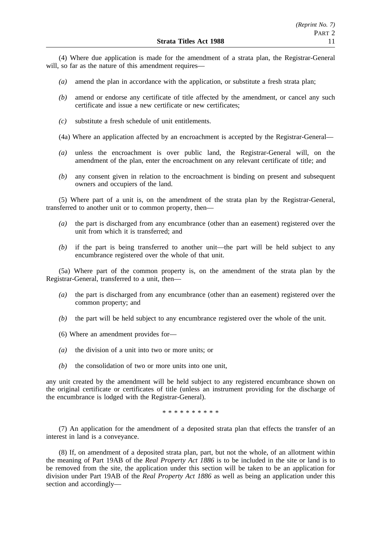(4) Where due application is made for the amendment of a strata plan, the Registrar-General will, so far as the nature of this amendment requires—

- *(a)* amend the plan in accordance with the application, or substitute a fresh strata plan;
- *(b)* amend or endorse any certificate of title affected by the amendment, or cancel any such certificate and issue a new certificate or new certificates;
- *(c)* substitute a fresh schedule of unit entitlements.
- (4a) Where an application affected by an encroachment is accepted by the Registrar-General—
- *(a)* unless the encroachment is over public land, the Registrar-General will, on the amendment of the plan, enter the encroachment on any relevant certificate of title; and
- *(b)* any consent given in relation to the encroachment is binding on present and subsequent owners and occupiers of the land.

(5) Where part of a unit is, on the amendment of the strata plan by the Registrar-General, transferred to another unit or to common property, then—

- *(a)* the part is discharged from any encumbrance (other than an easement) registered over the unit from which it is transferred; and
- *(b)* if the part is being transferred to another unit—the part will be held subject to any encumbrance registered over the whole of that unit.

(5a) Where part of the common property is, on the amendment of the strata plan by the Registrar-General, transferred to a unit, then—

- *(a)* the part is discharged from any encumbrance (other than an easement) registered over the common property; and
- *(b)* the part will be held subject to any encumbrance registered over the whole of the unit.
- (6) Where an amendment provides for—
- *(a)* the division of a unit into two or more units; or
- *(b)* the consolidation of two or more units into one unit,

any unit created by the amendment will be held subject to any registered encumbrance shown on the original certificate or certificates of title (unless an instrument providing for the discharge of the encumbrance is lodged with the Registrar-General).

\*\*\*\*\*\*\*\*\*\*

(7) An application for the amendment of a deposited strata plan that effects the transfer of an interest in land is a conveyance.

(8) If, on amendment of a deposited strata plan, part, but not the whole, of an allotment within the meaning of Part 19AB of the *Real Property Act 1886* is to be included in the site or land is to be removed from the site, the application under this section will be taken to be an application for division under Part 19AB of the *Real Property Act 1886* as well as being an application under this section and accordingly—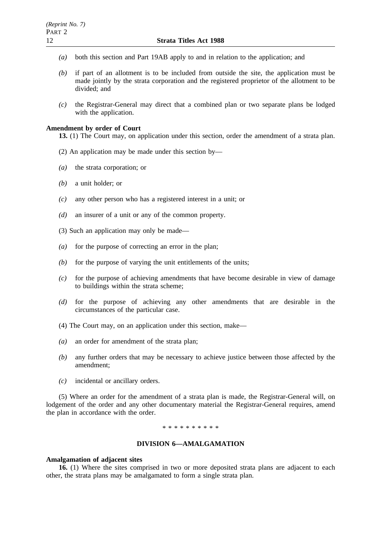- *(a)* both this section and Part 19AB apply to and in relation to the application; and
- *(b)* if part of an allotment is to be included from outside the site, the application must be made jointly by the strata corporation and the registered proprietor of the allotment to be divided; and
- *(c)* the Registrar-General may direct that a combined plan or two separate plans be lodged with the application.

#### **Amendment by order of Court**

**13.** (1) The Court may, on application under this section, order the amendment of a strata plan.

- (2) An application may be made under this section by—
- *(a)* the strata corporation; or
- *(b)* a unit holder; or
- *(c)* any other person who has a registered interest in a unit; or
- *(d)* an insurer of a unit or any of the common property.
- (3) Such an application may only be made—
- *(a)* for the purpose of correcting an error in the plan;
- *(b)* for the purpose of varying the unit entitlements of the units;
- *(c)* for the purpose of achieving amendments that have become desirable in view of damage to buildings within the strata scheme;
- *(d)* for the purpose of achieving any other amendments that are desirable in the circumstances of the particular case.
- (4) The Court may, on an application under this section, make—
- *(a)* an order for amendment of the strata plan;
- *(b)* any further orders that may be necessary to achieve justice between those affected by the amendment;
- *(c)* incidental or ancillary orders.

(5) Where an order for the amendment of a strata plan is made, the Registrar-General will, on lodgement of the order and any other documentary material the Registrar-General requires, amend the plan in accordance with the order.

## \*\*\*\*\*\*\*\*\*\*

## **DIVISION 6—AMALGAMATION**

#### **Amalgamation of adjacent sites**

**16.** (1) Where the sites comprised in two or more deposited strata plans are adjacent to each other, the strata plans may be amalgamated to form a single strata plan.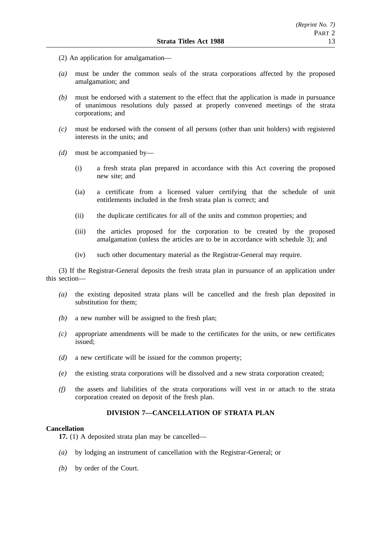- (2) An application for amalgamation—
- *(a)* must be under the common seals of the strata corporations affected by the proposed amalgamation; and
- *(b)* must be endorsed with a statement to the effect that the application is made in pursuance of unanimous resolutions duly passed at properly convened meetings of the strata corporations; and
- *(c)* must be endorsed with the consent of all persons (other than unit holders) with registered interests in the units; and
- *(d)* must be accompanied by—
	- (i) a fresh strata plan prepared in accordance with this Act covering the proposed new site; and
	- (ia) a certificate from a licensed valuer certifying that the schedule of unit entitlements included in the fresh strata plan is correct; and
	- (ii) the duplicate certificates for all of the units and common properties; and
	- (iii) the articles proposed for the corporation to be created by the proposed amalgamation (unless the articles are to be in accordance with schedule 3); and
	- (iv) such other documentary material as the Registrar-General may require.

(3) If the Registrar-General deposits the fresh strata plan in pursuance of an application under this section—

- *(a)* the existing deposited strata plans will be cancelled and the fresh plan deposited in substitution for them;
- *(b)* a new number will be assigned to the fresh plan;
- *(c)* appropriate amendments will be made to the certificates for the units, or new certificates issued;
- *(d)* a new certificate will be issued for the common property;
- *(e)* the existing strata corporations will be dissolved and a new strata corporation created;
- *(f)* the assets and liabilities of the strata corporations will vest in or attach to the strata corporation created on deposit of the fresh plan.

# **DIVISION 7—CANCELLATION OF STRATA PLAN**

## **Cancellation**

**17.** (1) A deposited strata plan may be cancelled—

- *(a)* by lodging an instrument of cancellation with the Registrar-General; or
- *(b)* by order of the Court.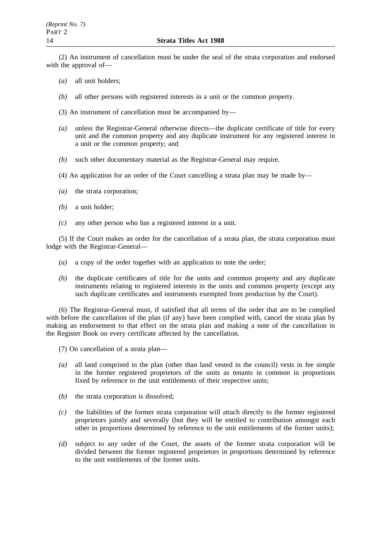(2) An instrument of cancellation must be under the seal of the strata corporation and endorsed with the approval of—

- *(a)* all unit holders;
- *(b)* all other persons with registered interests in a unit or the common property.

(3) An instrument of cancellation must be accompanied by—

- *(a)* unless the Registrar-General otherwise directs—the duplicate certificate of title for every unit and the common property and any duplicate instrument for any registered interest in a unit or the common property; and
- *(b)* such other documentary material as the Registrar-General may require.
- (4) An application for an order of the Court cancelling a strata plan may be made by—
- *(a)* the strata corporation;
- *(b)* a unit holder;
- *(c)* any other person who has a registered interest in a unit.

(5) If the Court makes an order for the cancellation of a strata plan, the strata corporation must lodge with the Registrar-General—

- *(a)* a copy of the order together with an application to note the order;
- *(b)* the duplicate certificates of title for the units and common property and any duplicate instruments relating to registered interests in the units and common property (except any such duplicate certificates and instruments exempted from production by the Court).

(6) The Registrar-General must, if satisfied that all terms of the order that are to be complied with before the cancellation of the plan (if any) have been complied with, cancel the strata plan by making an endorsement to that effect on the strata plan and making a note of the cancellation in the Register Book on every certificate affected by the cancellation.

(7) On cancellation of a strata plan—

- *(a)* all land comprised in the plan (other than land vested in the council) vests in fee simple in the former registered proprietors of the units as tenants in common in proportions fixed by reference to the unit entitlements of their respective units;
- *(b)* the strata corporation is dissolved;
- *(c)* the liabilities of the former strata corporation will attach directly to the former registered proprietors jointly and severally (but they will be entitled to contribution amongst each other in proportions determined by reference to the unit entitlements of the former units);
- *(d)* subject to any order of the Court, the assets of the former strata corporation will be divided between the former registered proprietors in proportions determined by reference to the unit entitlements of the former units.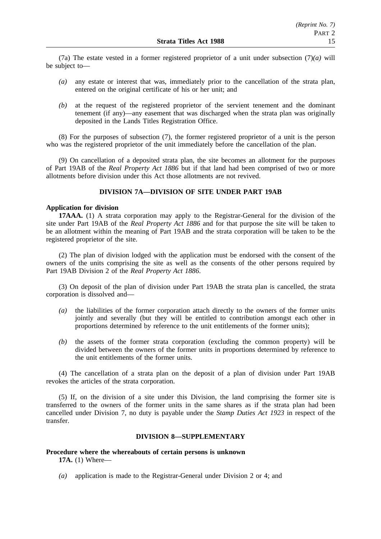(7a) The estate vested in a former registered proprietor of a unit under subsection (7)*(a)* will be subject to—

- *(a)* any estate or interest that was, immediately prior to the cancellation of the strata plan, entered on the original certificate of his or her unit; and
- *(b)* at the request of the registered proprietor of the servient tenement and the dominant tenement (if any)—any easement that was discharged when the strata plan was originally deposited in the Lands Titles Registration Office.

(8) For the purposes of subsection (7), the former registered proprietor of a unit is the person who was the registered proprietor of the unit immediately before the cancellation of the plan.

(9) On cancellation of a deposited strata plan, the site becomes an allotment for the purposes of Part 19AB of the *Real Property Act 1886* but if that land had been comprised of two or more allotments before division under this Act those allotments are not revived.

# **DIVISION 7A—DIVISION OF SITE UNDER PART 19AB**

## **Application for division**

**17AAA.** (1) A strata corporation may apply to the Registrar-General for the division of the site under Part 19AB of the *Real Property Act 1886* and for that purpose the site will be taken to be an allotment within the meaning of Part 19AB and the strata corporation will be taken to be the registered proprietor of the site.

(2) The plan of division lodged with the application must be endorsed with the consent of the owners of the units comprising the site as well as the consents of the other persons required by Part 19AB Division 2 of the *Real Property Act 1886*.

(3) On deposit of the plan of division under Part 19AB the strata plan is cancelled, the strata corporation is dissolved and—

- *(a)* the liabilities of the former corporation attach directly to the owners of the former units jointly and severally (but they will be entitled to contribution amongst each other in proportions determined by reference to the unit entitlements of the former units);
- *(b)* the assets of the former strata corporation (excluding the common property) will be divided between the owners of the former units in proportions determined by reference to the unit entitlements of the former units.

(4) The cancellation of a strata plan on the deposit of a plan of division under Part 19AB revokes the articles of the strata corporation.

(5) If, on the division of a site under this Division, the land comprising the former site is transferred to the owners of the former units in the same shares as if the strata plan had been cancelled under Division 7, no duty is payable under the *Stamp Duties Act 1923* in respect of the transfer.

## **DIVISION 8—SUPPLEMENTARY**

## **Procedure where the whereabouts of certain persons is unknown 17A.** (1) Where—

*(a)* application is made to the Registrar-General under Division 2 or 4; and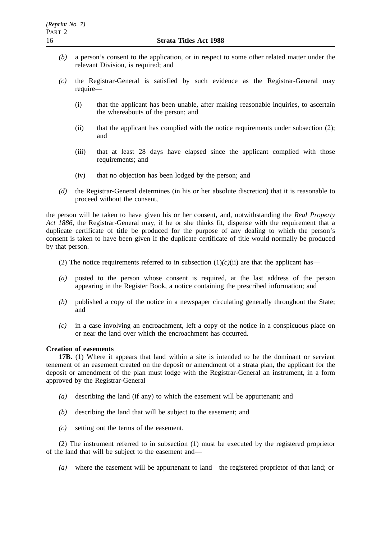- *(b)* a person's consent to the application, or in respect to some other related matter under the relevant Division, is required; and
- *(c)* the Registrar-General is satisfied by such evidence as the Registrar-General may require—
	- (i) that the applicant has been unable, after making reasonable inquiries, to ascertain the whereabouts of the person; and
	- (ii) that the applicant has complied with the notice requirements under subsection (2); and
	- (iii) that at least 28 days have elapsed since the applicant complied with those requirements; and
	- (iv) that no objection has been lodged by the person; and
- *(d)* the Registrar-General determines (in his or her absolute discretion) that it is reasonable to proceed without the consent,

the person will be taken to have given his or her consent, and, notwithstanding the *Real Property Act 1886*, the Registrar-General may, if he or she thinks fit, dispense with the requirement that a duplicate certificate of title be produced for the purpose of any dealing to which the person's consent is taken to have been given if the duplicate certificate of title would normally be produced by that person.

- (2) The notice requirements referred to in subsection  $(1)(c)(ii)$  are that the applicant has—
- *(a)* posted to the person whose consent is required, at the last address of the person appearing in the Register Book, a notice containing the prescribed information; and
- *(b)* published a copy of the notice in a newspaper circulating generally throughout the State; and
- *(c)* in a case involving an encroachment, left a copy of the notice in a conspicuous place on or near the land over which the encroachment has occurred.

## **Creation of easements**

**17B.** (1) Where it appears that land within a site is intended to be the dominant or servient tenement of an easement created on the deposit or amendment of a strata plan, the applicant for the deposit or amendment of the plan must lodge with the Registrar-General an instrument, in a form approved by the Registrar-General—

- *(a)* describing the land (if any) to which the easement will be appurtenant; and
- *(b)* describing the land that will be subject to the easement; and
- *(c)* setting out the terms of the easement.

(2) The instrument referred to in subsection (1) must be executed by the registered proprietor of the land that will be subject to the easement and—

*(a)* where the easement will be appurtenant to land—the registered proprietor of that land; or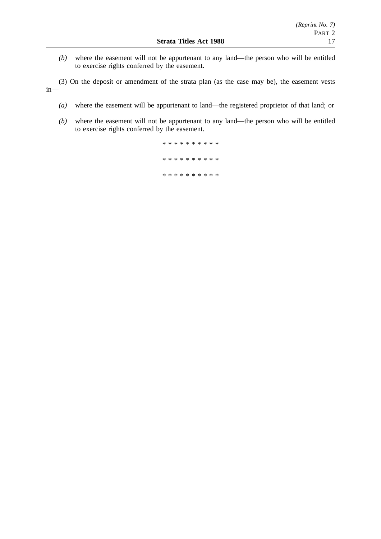*(b)* where the easement will not be appurtenant to any land—the person who will be entitled to exercise rights conferred by the easement.

(3) On the deposit or amendment of the strata plan (as the case may be), the easement vests in—

- *(a)* where the easement will be appurtenant to land—the registered proprietor of that land; or
- *(b)* where the easement will not be appurtenant to any land—the person who will be entitled to exercise rights conferred by the easement.

\*\*\*\*\*\*\*\*\*\* \*\*\*\*\*\*\*\*\*\* \*\*\*\*\*\*\*\*\*\*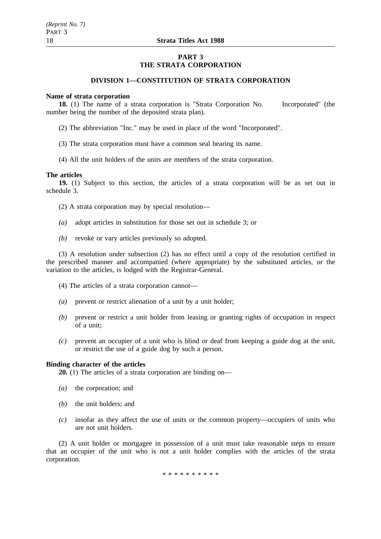# **PART 3 THE STRATA CORPORATION**

## **DIVISION 1—CONSTITUTION OF STRATA CORPORATION**

#### **Name of strata corporation**

**18.** (1) The name of a strata corporation is "Strata Corporation No. Incorporated" (the number being the number of the deposited strata plan).

- (2) The abbreviation "Inc." may be used in place of the word "Incorporated".
- (3) The strata corporation must have a common seal bearing its name.
- (4) All the unit holders of the units are members of the strata corporation.

#### **The articles**

**19.** (1) Subject to this section, the articles of a strata corporation will be as set out in schedule 3.

(2) A strata corporation may by special resolution—

- *(a)* adopt articles in substitution for those set out in schedule 3; or
- *(b)* revoke or vary articles previously so adopted.

(3) A resolution under subsection (2) has no effect until a copy of the resolution certified in the prescribed manner and accompanied (where appropriate) by the substituted articles, or the variation to the articles, is lodged with the Registrar-General.

- (4) The articles of a strata corporation cannot—
- *(a)* prevent or restrict alienation of a unit by a unit holder;
- *(b)* prevent or restrict a unit holder from leasing or granting rights of occupation in respect of a unit;
- *(c)* prevent an occupier of a unit who is blind or deaf from keeping a guide dog at the unit, or restrict the use of a guide dog by such a person.

#### **Binding character of the articles**

**20.** (1) The articles of a strata corporation are binding on—

- *(a)* the corporation; and
- *(b)* the unit holders; and
- *(c)* insofar as they affect the use of units or the common property—occupiers of units who are not unit holders.

(2) A unit holder or mortgagee in possession of a unit must take reasonable steps to ensure that an occupier of the unit who is not a unit holder complies with the articles of the strata corporation.

\*\*\*\*\*\*\*\*\*\*\*\*\*\*\*\*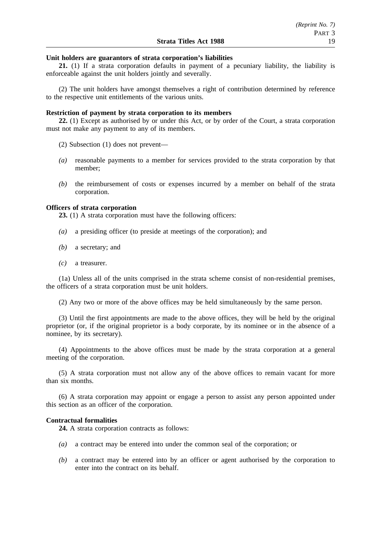### **Unit holders are guarantors of strata corporation's liabilities**

**21.** (1) If a strata corporation defaults in payment of a pecuniary liability, the liability is enforceable against the unit holders jointly and severally.

(2) The unit holders have amongst themselves a right of contribution determined by reference to the respective unit entitlements of the various units.

## **Restriction of payment by strata corporation to its members**

**22.** (1) Except as authorised by or under this Act, or by order of the Court, a strata corporation must not make any payment to any of its members.

(2) Subsection (1) does not prevent—

- *(a)* reasonable payments to a member for services provided to the strata corporation by that member;
- *(b)* the reimbursement of costs or expenses incurred by a member on behalf of the strata corporation.

## **Officers of strata corporation**

**23.** (1) A strata corporation must have the following officers:

- *(a)* a presiding officer (to preside at meetings of the corporation); and
- *(b)* a secretary; and
- *(c)* a treasurer.

(1a) Unless all of the units comprised in the strata scheme consist of non-residential premises, the officers of a strata corporation must be unit holders.

(2) Any two or more of the above offices may be held simultaneously by the same person.

(3) Until the first appointments are made to the above offices, they will be held by the original proprietor (or, if the original proprietor is a body corporate, by its nominee or in the absence of a nominee, by its secretary).

(4) Appointments to the above offices must be made by the strata corporation at a general meeting of the corporation.

(5) A strata corporation must not allow any of the above offices to remain vacant for more than six months.

(6) A strata corporation may appoint or engage a person to assist any person appointed under this section as an officer of the corporation.

#### **Contractual formalities**

**24.** A strata corporation contracts as follows:

- *(a)* a contract may be entered into under the common seal of the corporation; or
- *(b)* a contract may be entered into by an officer or agent authorised by the corporation to enter into the contract on its behalf.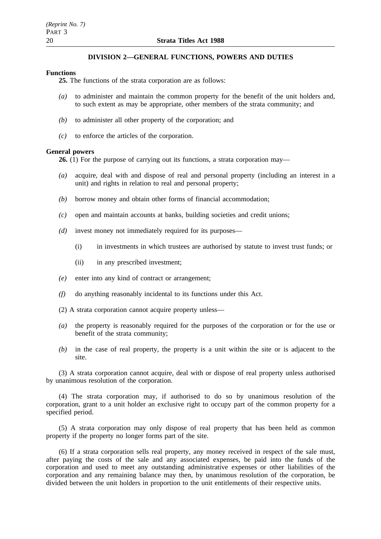## **DIVISION 2—GENERAL FUNCTIONS, POWERS AND DUTIES**

### **Functions**

**25.** The functions of the strata corporation are as follows:

- *(a)* to administer and maintain the common property for the benefit of the unit holders and, to such extent as may be appropriate, other members of the strata community; and
- *(b)* to administer all other property of the corporation; and
- *(c)* to enforce the articles of the corporation.

## **General powers**

**26.** (1) For the purpose of carrying out its functions, a strata corporation may—

- *(a)* acquire, deal with and dispose of real and personal property (including an interest in a unit) and rights in relation to real and personal property;
- *(b)* borrow money and obtain other forms of financial accommodation;
- *(c)* open and maintain accounts at banks, building societies and credit unions;
- *(d)* invest money not immediately required for its purposes—
	- (i) in investments in which trustees are authorised by statute to invest trust funds; or
	- (ii) in any prescribed investment;
- *(e)* enter into any kind of contract or arrangement;
- *(f)* do anything reasonably incidental to its functions under this Act.
- (2) A strata corporation cannot acquire property unless—
- *(a)* the property is reasonably required for the purposes of the corporation or for the use or benefit of the strata community;
- *(b)* in the case of real property, the property is a unit within the site or is adjacent to the site.

(3) A strata corporation cannot acquire, deal with or dispose of real property unless authorised by unanimous resolution of the corporation.

(4) The strata corporation may, if authorised to do so by unanimous resolution of the corporation, grant to a unit holder an exclusive right to occupy part of the common property for a specified period.

(5) A strata corporation may only dispose of real property that has been held as common property if the property no longer forms part of the site.

(6) If a strata corporation sells real property, any money received in respect of the sale must, after paying the costs of the sale and any associated expenses, be paid into the funds of the corporation and used to meet any outstanding administrative expenses or other liabilities of the corporation and any remaining balance may then, by unanimous resolution of the corporation, be divided between the unit holders in proportion to the unit entitlements of their respective units.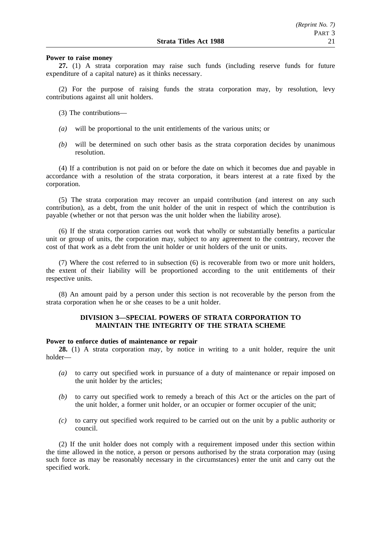#### **Power to raise money**

**27.** (1) A strata corporation may raise such funds (including reserve funds for future expenditure of a capital nature) as it thinks necessary.

(2) For the purpose of raising funds the strata corporation may, by resolution, levy contributions against all unit holders.

- (3) The contributions—
- *(a)* will be proportional to the unit entitlements of the various units; or
- *(b)* will be determined on such other basis as the strata corporation decides by unanimous resolution.

(4) If a contribution is not paid on or before the date on which it becomes due and payable in accordance with a resolution of the strata corporation, it bears interest at a rate fixed by the corporation.

(5) The strata corporation may recover an unpaid contribution (and interest on any such contribution), as a debt, from the unit holder of the unit in respect of which the contribution is payable (whether or not that person was the unit holder when the liability arose).

(6) If the strata corporation carries out work that wholly or substantially benefits a particular unit or group of units, the corporation may, subject to any agreement to the contrary, recover the cost of that work as a debt from the unit holder or unit holders of the unit or units.

(7) Where the cost referred to in subsection (6) is recoverable from two or more unit holders, the extent of their liability will be proportioned according to the unit entitlements of their respective units.

(8) An amount paid by a person under this section is not recoverable by the person from the strata corporation when he or she ceases to be a unit holder.

## **DIVISION 3—SPECIAL POWERS OF STRATA CORPORATION TO MAINTAIN THE INTEGRITY OF THE STRATA SCHEME**

#### **Power to enforce duties of maintenance or repair**

**28.** (1) A strata corporation may, by notice in writing to a unit holder, require the unit holder—

- *(a)* to carry out specified work in pursuance of a duty of maintenance or repair imposed on the unit holder by the articles;
- *(b)* to carry out specified work to remedy a breach of this Act or the articles on the part of the unit holder, a former unit holder, or an occupier or former occupier of the unit;
- *(c)* to carry out specified work required to be carried out on the unit by a public authority or council.

(2) If the unit holder does not comply with a requirement imposed under this section within the time allowed in the notice, a person or persons authorised by the strata corporation may (using such force as may be reasonably necessary in the circumstances) enter the unit and carry out the specified work.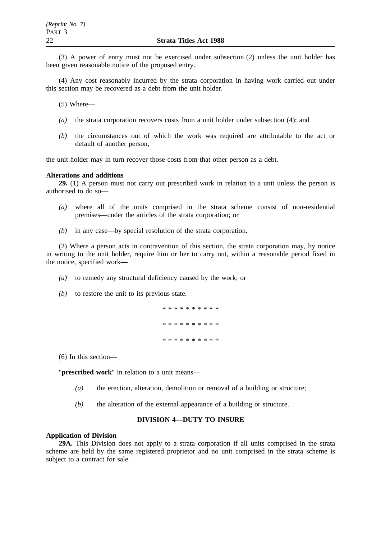(3) A power of entry must not be exercised under subsection (2) unless the unit holder has been given reasonable notice of the proposed entry.

(4) Any cost reasonably incurred by the strata corporation in having work carried out under this section may be recovered as a debt from the unit holder.

(5) Where—

- *(a)* the strata corporation recovers costs from a unit holder under subsection (4); and
- *(b)* the circumstances out of which the work was required are attributable to the act or default of another person,

the unit holder may in turn recover those costs from that other person as a debt.

#### **Alterations and additions**

**29.** (1) A person must not carry out prescribed work in relation to a unit unless the person is authorised to do so—

- *(a)* where all of the units comprised in the strata scheme consist of non-residential premises—under the articles of the strata corporation; or
- *(b)* in any case—by special resolution of the strata corporation.

(2) Where a person acts in contravention of this section, the strata corporation may, by notice in writing to the unit holder, require him or her to carry out, within a reasonable period fixed in the notice, specified work—

- *(a)* to remedy any structural deficiency caused by the work; or
- *(b)* to restore the unit to its previous state.

\*\*\*\*\*\*\*\*\*\* \*\*\*\*\*\*\*\*\*\* \*\*\*\*\*\*\*\*\*\*

(6) In this section—

"**prescribed work**" in relation to a unit means—

- *(a)* the erection, alteration, demolition or removal of a building or structure;
- *(b)* the alteration of the external appearance of a building or structure.

## **DIVISION 4—DUTY TO INSURE**

#### **Application of Division**

**29A.** This Division does not apply to a strata corporation if all units comprised in the strata scheme are held by the same registered proprietor and no unit comprised in the strata scheme is subject to a contract for sale.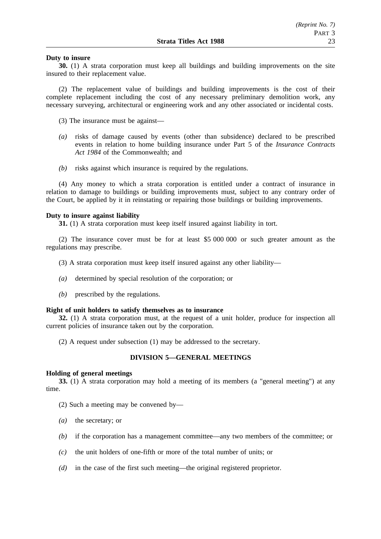## **Duty to insure**

**30.** (1) A strata corporation must keep all buildings and building improvements on the site insured to their replacement value.

(2) The replacement value of buildings and building improvements is the cost of their complete replacement including the cost of any necessary preliminary demolition work, any necessary surveying, architectural or engineering work and any other associated or incidental costs.

(3) The insurance must be against—

- *(a)* risks of damage caused by events (other than subsidence) declared to be prescribed events in relation to home building insurance under Part 5 of the *Insurance Contracts Act 1984* of the Commonwealth; and
- *(b)* risks against which insurance is required by the regulations.

(4) Any money to which a strata corporation is entitled under a contract of insurance in relation to damage to buildings or building improvements must, subject to any contrary order of the Court, be applied by it in reinstating or repairing those buildings or building improvements.

#### **Duty to insure against liability**

**31.** (1) A strata corporation must keep itself insured against liability in tort.

(2) The insurance cover must be for at least \$5 000 000 or such greater amount as the regulations may prescribe.

(3) A strata corporation must keep itself insured against any other liability—

- *(a)* determined by special resolution of the corporation; or
- *(b)* prescribed by the regulations.

#### **Right of unit holders to satisfy themselves as to insurance**

**32.** (1) A strata corporation must, at the request of a unit holder, produce for inspection all current policies of insurance taken out by the corporation.

(2) A request under subsection (1) may be addressed to the secretary.

## **DIVISION 5—GENERAL MEETINGS**

#### **Holding of general meetings**

**33.** (1) A strata corporation may hold a meeting of its members (a "general meeting") at any time.

(2) Such a meeting may be convened by—

- *(a)* the secretary; or
- *(b)* if the corporation has a management committee—any two members of the committee; or
- *(c)* the unit holders of one-fifth or more of the total number of units; or
- *(d)* in the case of the first such meeting—the original registered proprietor.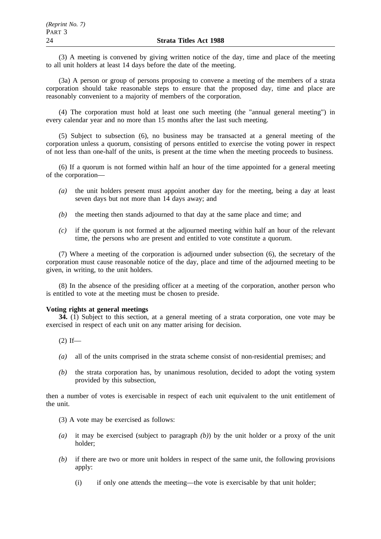(3) A meeting is convened by giving written notice of the day, time and place of the meeting to all unit holders at least 14 days before the date of the meeting.

(3a) A person or group of persons proposing to convene a meeting of the members of a strata corporation should take reasonable steps to ensure that the proposed day, time and place are reasonably convenient to a majority of members of the corporation.

(4) The corporation must hold at least one such meeting (the "annual general meeting") in every calendar year and no more than 15 months after the last such meeting.

(5) Subject to subsection (6), no business may be transacted at a general meeting of the corporation unless a quorum, consisting of persons entitled to exercise the voting power in respect of not less than one-half of the units, is present at the time when the meeting proceeds to business.

(6) If a quorum is not formed within half an hour of the time appointed for a general meeting of the corporation—

- *(a)* the unit holders present must appoint another day for the meeting, being a day at least seven days but not more than 14 days away; and
- *(b)* the meeting then stands adjourned to that day at the same place and time; and
- *(c)* if the quorum is not formed at the adjourned meeting within half an hour of the relevant time, the persons who are present and entitled to vote constitute a quorum.

(7) Where a meeting of the corporation is adjourned under subsection (6), the secretary of the corporation must cause reasonable notice of the day, place and time of the adjourned meeting to be given, in writing, to the unit holders.

(8) In the absence of the presiding officer at a meeting of the corporation, another person who is entitled to vote at the meeting must be chosen to preside.

#### **Voting rights at general meetings**

**34.** (1) Subject to this section, at a general meeting of a strata corporation, one vote may be exercised in respect of each unit on any matter arising for decision.

 $(2)$  If—

- *(a)* all of the units comprised in the strata scheme consist of non-residential premises; and
- *(b)* the strata corporation has, by unanimous resolution, decided to adopt the voting system provided by this subsection,

then a number of votes is exercisable in respect of each unit equivalent to the unit entitlement of the unit.

- (3) A vote may be exercised as follows:
- *(a)* it may be exercised (subject to paragraph *(b)*) by the unit holder or a proxy of the unit holder;
- *(b)* if there are two or more unit holders in respect of the same unit, the following provisions apply:
	- (i) if only one attends the meeting—the vote is exercisable by that unit holder;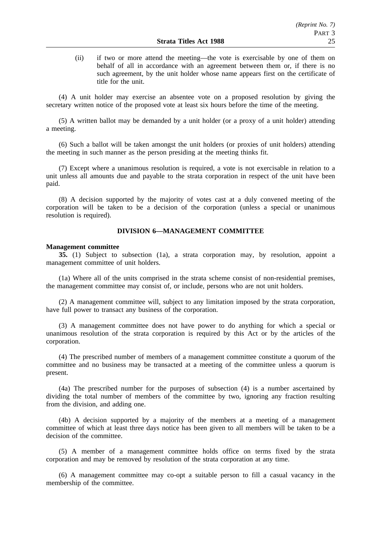(ii) if two or more attend the meeting—the vote is exercisable by one of them on behalf of all in accordance with an agreement between them or, if there is no such agreement, by the unit holder whose name appears first on the certificate of title for the unit.

(4) A unit holder may exercise an absentee vote on a proposed resolution by giving the secretary written notice of the proposed vote at least six hours before the time of the meeting.

(5) A written ballot may be demanded by a unit holder (or a proxy of a unit holder) attending a meeting.

(6) Such a ballot will be taken amongst the unit holders (or proxies of unit holders) attending the meeting in such manner as the person presiding at the meeting thinks fit.

(7) Except where a unanimous resolution is required, a vote is not exercisable in relation to a unit unless all amounts due and payable to the strata corporation in respect of the unit have been paid.

(8) A decision supported by the majority of votes cast at a duly convened meeting of the corporation will be taken to be a decision of the corporation (unless a special or unanimous resolution is required).

## **DIVISION 6—MANAGEMENT COMMITTEE**

#### **Management committee**

**35.** (1) Subject to subsection (1a), a strata corporation may, by resolution, appoint a management committee of unit holders.

(1a) Where all of the units comprised in the strata scheme consist of non-residential premises, the management committee may consist of, or include, persons who are not unit holders.

(2) A management committee will, subject to any limitation imposed by the strata corporation, have full power to transact any business of the corporation.

(3) A management committee does not have power to do anything for which a special or unanimous resolution of the strata corporation is required by this Act or by the articles of the corporation.

(4) The prescribed number of members of a management committee constitute a quorum of the committee and no business may be transacted at a meeting of the committee unless a quorum is present.

(4a) The prescribed number for the purposes of subsection (4) is a number ascertained by dividing the total number of members of the committee by two, ignoring any fraction resulting from the division, and adding one.

(4b) A decision supported by a majority of the members at a meeting of a management committee of which at least three days notice has been given to all members will be taken to be a decision of the committee.

(5) A member of a management committee holds office on terms fixed by the strata corporation and may be removed by resolution of the strata corporation at any time.

(6) A management committee may co-opt a suitable person to fill a casual vacancy in the membership of the committee.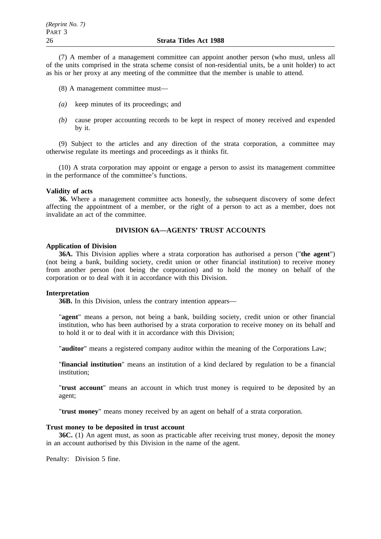(7) A member of a management committee can appoint another person (who must, unless all of the units comprised in the strata scheme consist of non-residential units, be a unit holder) to act as his or her proxy at any meeting of the committee that the member is unable to attend.

(8) A management committee must—

- *(a)* keep minutes of its proceedings; and
- *(b)* cause proper accounting records to be kept in respect of money received and expended by it.

(9) Subject to the articles and any direction of the strata corporation, a committee may otherwise regulate its meetings and proceedings as it thinks fit.

(10) A strata corporation may appoint or engage a person to assist its management committee in the performance of the committee's functions.

### **Validity of acts**

**36.** Where a management committee acts honestly, the subsequent discovery of some defect affecting the appointment of a member, or the right of a person to act as a member, does not invalidate an act of the committee.

# **DIVISION 6A—AGENTS' TRUST ACCOUNTS**

## **Application of Division**

**36A.** This Division applies where a strata corporation has authorised a person ("**the agent**") (not being a bank, building society, credit union or other financial institution) to receive money from another person (not being the corporation) and to hold the money on behalf of the corporation or to deal with it in accordance with this Division.

#### **Interpretation**

**36B.** In this Division, unless the contrary intention appears—

"**agent**" means a person, not being a bank, building society, credit union or other financial institution, who has been authorised by a strata corporation to receive money on its behalf and to hold it or to deal with it in accordance with this Division;

"**auditor**" means a registered company auditor within the meaning of the Corporations Law;

"**financial institution**" means an institution of a kind declared by regulation to be a financial institution;

"**trust account**" means an account in which trust money is required to be deposited by an agent;

"**trust money**" means money received by an agent on behalf of a strata corporation.

#### **Trust money to be deposited in trust account**

**36C.** (1) An agent must, as soon as practicable after receiving trust money, deposit the money in an account authorised by this Division in the name of the agent.

Penalty: Division 5 fine.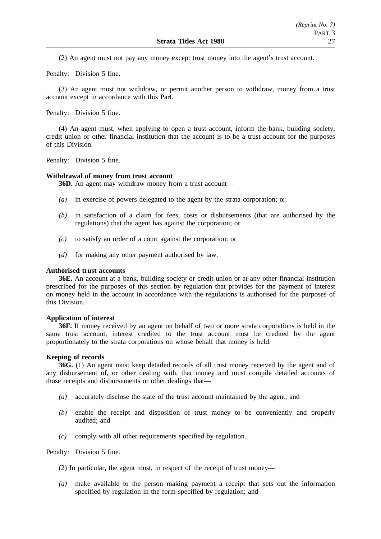(2) An agent must not pay any money except trust money into the agent's trust account.

Penalty: Division 5 fine.

(3) An agent must not withdraw, or permit another person to withdraw, money from a trust account except in accordance with this Part.

Penalty: Division 5 fine.

(4) An agent must, when applying to open a trust account, inform the bank, building society, credit union or other financial institution that the account is to be a trust account for the purposes of this Division.

Penalty: Division 5 fine.

#### **Withdrawal of money from trust account**

**36D.** An agent may withdraw money from a trust account—

- *(a)* in exercise of powers delegated to the agent by the strata corporation; or
- *(b)* in satisfaction of a claim for fees, costs or disbursements (that are authorised by the regulations) that the agent has against the corporation; or
- *(c)* to satisfy an order of a court against the corporation; or
- *(d)* for making any other payment authorised by law.

#### **Authorised trust accounts**

**36E.** An account at a bank, building society or credit union or at any other financial institution prescribed for the purposes of this section by regulation that provides for the payment of interest on money held in the account in accordance with the regulations is authorised for the purposes of this Division.

#### **Application of interest**

**36F.** If money received by an agent on behalf of two or more strata corporations is held in the same trust account, interest credited to the trust account must be credited by the agent proportionately to the strata corporations on whose behalf that money is held.

#### **Keeping of records**

**36G.** (1) An agent must keep detailed records of all trust money received by the agent and of any disbursement of, or other dealing with, that money and must compile detailed accounts of those receipts and disbursements or other dealings that—

- *(a)* accurately disclose the state of the trust account maintained by the agent; and
- *(b)* enable the receipt and disposition of trust money to be conveniently and properly audited; and
- *(c)* comply with all other requirements specified by regulation.

Penalty: Division 5 fine.

- (2) In particular, the agent must, in respect of the receipt of trust money—
- *(a)* make available to the person making payment a receipt that sets out the information specified by regulation in the form specified by regulation; and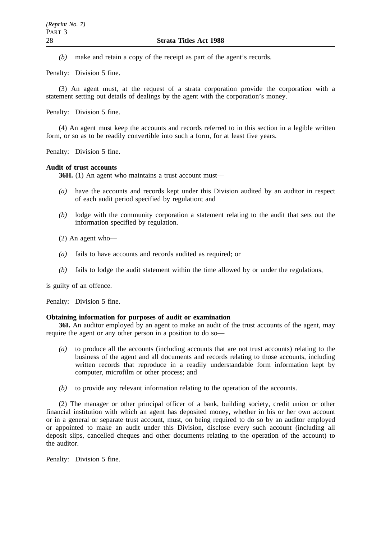*(b)* make and retain a copy of the receipt as part of the agent's records.

Penalty: Division 5 fine.

(3) An agent must, at the request of a strata corporation provide the corporation with a statement setting out details of dealings by the agent with the corporation's money.

Penalty: Division 5 fine.

(4) An agent must keep the accounts and records referred to in this section in a legible written form, or so as to be readily convertible into such a form, for at least five years.

Penalty: Division 5 fine.

#### **Audit of trust accounts**

**36H.** (1) An agent who maintains a trust account must—

- *(a)* have the accounts and records kept under this Division audited by an auditor in respect of each audit period specified by regulation; and
- *(b)* lodge with the community corporation a statement relating to the audit that sets out the information specified by regulation.
- (2) An agent who—
- *(a)* fails to have accounts and records audited as required; or
- *(b)* fails to lodge the audit statement within the time allowed by or under the regulations,

is guilty of an offence.

Penalty: Division 5 fine.

## **Obtaining information for purposes of audit or examination**

**36I.** An auditor employed by an agent to make an audit of the trust accounts of the agent, may require the agent or any other person in a position to do so—

- *(a)* to produce all the accounts (including accounts that are not trust accounts) relating to the business of the agent and all documents and records relating to those accounts, including written records that reproduce in a readily understandable form information kept by computer, microfilm or other process; and
- *(b)* to provide any relevant information relating to the operation of the accounts.

(2) The manager or other principal officer of a bank, building society, credit union or other financial institution with which an agent has deposited money, whether in his or her own account or in a general or separate trust account, must, on being required to do so by an auditor employed or appointed to make an audit under this Division, disclose every such account (including all deposit slips, cancelled cheques and other documents relating to the operation of the account) to the auditor.

Penalty: Division 5 fine.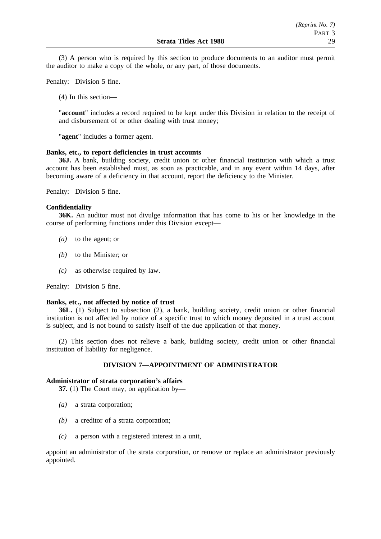(3) A person who is required by this section to produce documents to an auditor must permit the auditor to make a copy of the whole, or any part, of those documents.

Penalty: Division 5 fine.

(4) In this section—

"**account**" includes a record required to be kept under this Division in relation to the receipt of and disbursement of or other dealing with trust money;

"**agent**" includes a former agent.

### **Banks, etc., to report deficiencies in trust accounts**

**36J.** A bank, building society, credit union or other financial institution with which a trust account has been established must, as soon as practicable, and in any event within 14 days, after becoming aware of a deficiency in that account, report the deficiency to the Minister.

Penalty: Division 5 fine.

## **Confidentiality**

**36K.** An auditor must not divulge information that has come to his or her knowledge in the course of performing functions under this Division except—

- *(a)* to the agent; or
- *(b)* to the Minister; or
- *(c)* as otherwise required by law.

Penalty: Division 5 fine.

#### **Banks, etc., not affected by notice of trust**

**36L.** (1) Subject to subsection (2), a bank, building society, credit union or other financial institution is not affected by notice of a specific trust to which money deposited in a trust account is subject, and is not bound to satisfy itself of the due application of that money.

(2) This section does not relieve a bank, building society, credit union or other financial institution of liability for negligence.

## **DIVISION 7—APPOINTMENT OF ADMINISTRATOR**

## **Administrator of strata corporation's affairs**

**37.** (1) The Court may, on application by—

- *(a)* a strata corporation;
- *(b)* a creditor of a strata corporation;
- *(c)* a person with a registered interest in a unit,

appoint an administrator of the strata corporation, or remove or replace an administrator previously appointed.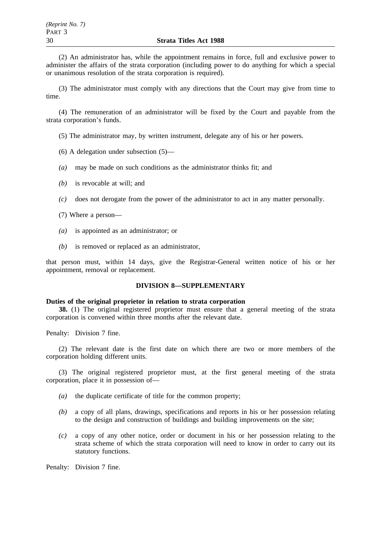(2) An administrator has, while the appointment remains in force, full and exclusive power to administer the affairs of the strata corporation (including power to do anything for which a special or unanimous resolution of the strata corporation is required).

(3) The administrator must comply with any directions that the Court may give from time to time.

(4) The remuneration of an administrator will be fixed by the Court and payable from the strata corporation's funds.

(5) The administrator may, by written instrument, delegate any of his or her powers.

- (6) A delegation under subsection (5)—
- *(a)* may be made on such conditions as the administrator thinks fit; and
- *(b)* is revocable at will; and
- *(c)* does not derogate from the power of the administrator to act in any matter personally.
- (7) Where a person—
- *(a)* is appointed as an administrator; or
- *(b)* is removed or replaced as an administrator,

that person must, within 14 days, give the Registrar-General written notice of his or her appointment, removal or replacement.

#### **DIVISION 8—SUPPLEMENTARY**

#### **Duties of the original proprietor in relation to strata corporation**

**38.** (1) The original registered proprietor must ensure that a general meeting of the strata corporation is convened within three months after the relevant date.

Penalty: Division 7 fine.

(2) The relevant date is the first date on which there are two or more members of the corporation holding different units.

(3) The original registered proprietor must, at the first general meeting of the strata corporation, place it in possession of—

- *(a)* the duplicate certificate of title for the common property;
- *(b)* a copy of all plans, drawings, specifications and reports in his or her possession relating to the design and construction of buildings and building improvements on the site;
- *(c)* a copy of any other notice, order or document in his or her possession relating to the strata scheme of which the strata corporation will need to know in order to carry out its statutory functions.

Penalty: Division 7 fine.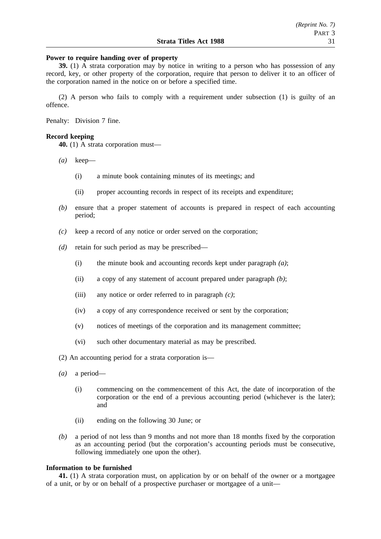## **Power to require handing over of property**

**39.** (1) A strata corporation may by notice in writing to a person who has possession of any record, key, or other property of the corporation, require that person to deliver it to an officer of the corporation named in the notice on or before a specified time.

(2) A person who fails to comply with a requirement under subsection (1) is guilty of an offence.

Penalty: Division 7 fine.

## **Record keeping**

**40.** (1) A strata corporation must—

- *(a)* keep—
	- (i) a minute book containing minutes of its meetings; and
	- (ii) proper accounting records in respect of its receipts and expenditure;
- *(b)* ensure that a proper statement of accounts is prepared in respect of each accounting period;
- *(c)* keep a record of any notice or order served on the corporation;
- *(d)* retain for such period as may be prescribed—
	- (i) the minute book and accounting records kept under paragraph *(a)*;
	- (ii) a copy of any statement of account prepared under paragraph *(b)*;
	- (iii) any notice or order referred to in paragraph *(c)*;
	- (iv) a copy of any correspondence received or sent by the corporation;
	- (v) notices of meetings of the corporation and its management committee;
	- (vi) such other documentary material as may be prescribed.

(2) An accounting period for a strata corporation is—

- *(a)* a period—
	- (i) commencing on the commencement of this Act, the date of incorporation of the corporation or the end of a previous accounting period (whichever is the later); and
	- (ii) ending on the following 30 June; or
- *(b)* a period of not less than 9 months and not more than 18 months fixed by the corporation as an accounting period (but the corporation's accounting periods must be consecutive, following immediately one upon the other).

## **Information to be furnished**

**41.** (1) A strata corporation must, on application by or on behalf of the owner or a mortgagee of a unit, or by or on behalf of a prospective purchaser or mortgagee of a unit—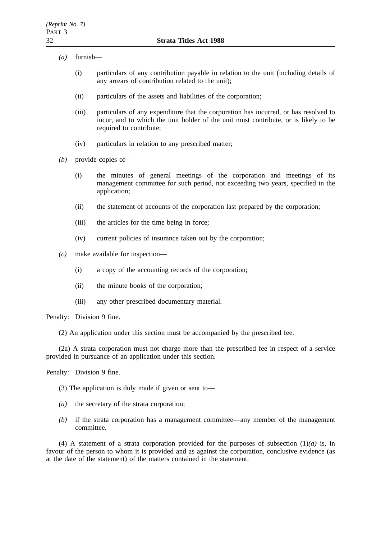- *(a)* furnish—
	- (i) particulars of any contribution payable in relation to the unit (including details of any arrears of contribution related to the unit);
	- (ii) particulars of the assets and liabilities of the corporation;
	- (iii) particulars of any expenditure that the corporation has incurred, or has resolved to incur, and to which the unit holder of the unit must contribute, or is likely to be required to contribute;
	- (iv) particulars in relation to any prescribed matter;
- *(b)* provide copies of—
	- (i) the minutes of general meetings of the corporation and meetings of its management committee for such period, not exceeding two years, specified in the application;
	- (ii) the statement of accounts of the corporation last prepared by the corporation;
	- (iii) the articles for the time being in force;
	- (iv) current policies of insurance taken out by the corporation;
- *(c)* make available for inspection—
	- (i) a copy of the accounting records of the corporation;
	- (ii) the minute books of the corporation;
	- (iii) any other prescribed documentary material.

Penalty: Division 9 fine.

(2) An application under this section must be accompanied by the prescribed fee.

(2a) A strata corporation must not charge more than the prescribed fee in respect of a service provided in pursuance of an application under this section.

Penalty: Division 9 fine.

- (3) The application is duly made if given or sent to—
- *(a)* the secretary of the strata corporation;
- *(b)* if the strata corporation has a management committee—any member of the management committee.

(4) A statement of a strata corporation provided for the purposes of subsection  $(1)(a)$  is, in favour of the person to whom it is provided and as against the corporation, conclusive evidence (as at the date of the statement) of the matters contained in the statement.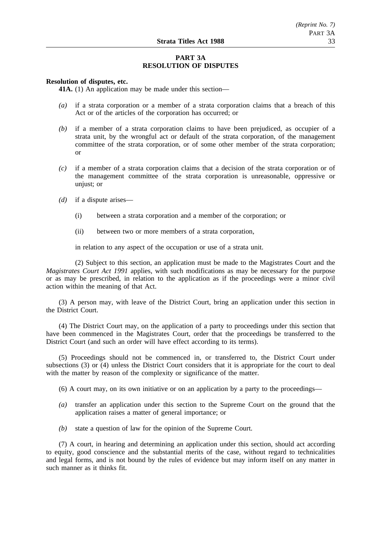## **PART 3A RESOLUTION OF DISPUTES**

## **Resolution of disputes, etc.**

**41A.** (1) An application may be made under this section—

- *(a)* if a strata corporation or a member of a strata corporation claims that a breach of this Act or of the articles of the corporation has occurred; or
- *(b)* if a member of a strata corporation claims to have been prejudiced, as occupier of a strata unit, by the wrongful act or default of the strata corporation, of the management committee of the strata corporation, or of some other member of the strata corporation; or
- *(c)* if a member of a strata corporation claims that a decision of the strata corporation or of the management committee of the strata corporation is unreasonable, oppressive or unjust; or
- *(d)* if a dispute arises—
	- (i) between a strata corporation and a member of the corporation; or
	- (ii) between two or more members of a strata corporation,

in relation to any aspect of the occupation or use of a strata unit.

(2) Subject to this section, an application must be made to the Magistrates Court and the *Magistrates Court Act 1991* applies, with such modifications as may be necessary for the purpose or as may be prescribed, in relation to the application as if the proceedings were a minor civil action within the meaning of that Act.

(3) A person may, with leave of the District Court, bring an application under this section in the District Court.

(4) The District Court may, on the application of a party to proceedings under this section that have been commenced in the Magistrates Court, order that the proceedings be transferred to the District Court (and such an order will have effect according to its terms).

(5) Proceedings should not be commenced in, or transferred to, the District Court under subsections (3) or (4) unless the District Court considers that it is appropriate for the court to deal with the matter by reason of the complexity or significance of the matter.

(6) A court may, on its own initiative or on an application by a party to the proceedings—

- *(a)* transfer an application under this section to the Supreme Court on the ground that the application raises a matter of general importance; or
- *(b)* state a question of law for the opinion of the Supreme Court.

(7) A court, in hearing and determining an application under this section, should act according to equity, good conscience and the substantial merits of the case, without regard to technicalities and legal forms, and is not bound by the rules of evidence but may inform itself on any matter in such manner as it thinks fit.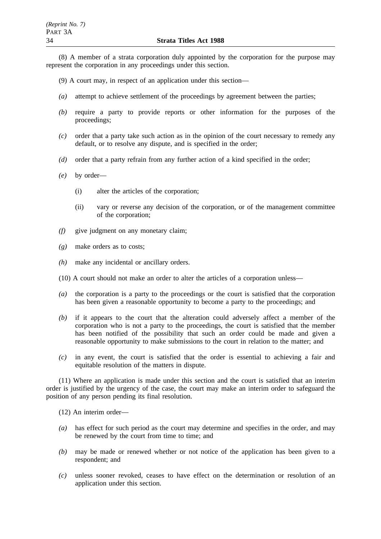(8) A member of a strata corporation duly appointed by the corporation for the purpose may represent the corporation in any proceedings under this section.

- (9) A court may, in respect of an application under this section—
- *(a)* attempt to achieve settlement of the proceedings by agreement between the parties;
- *(b)* require a party to provide reports or other information for the purposes of the proceedings;
- *(c)* order that a party take such action as in the opinion of the court necessary to remedy any default, or to resolve any dispute, and is specified in the order;
- *(d)* order that a party refrain from any further action of a kind specified in the order;
- *(e)* by order—
	- (i) alter the articles of the corporation;
	- (ii) vary or reverse any decision of the corporation, or of the management committee of the corporation;
- *(f)* give judgment on any monetary claim;
- *(g)* make orders as to costs;
- *(h)* make any incidental or ancillary orders.
- (10) A court should not make an order to alter the articles of a corporation unless—
- *(a)* the corporation is a party to the proceedings or the court is satisfied that the corporation has been given a reasonable opportunity to become a party to the proceedings; and
- *(b)* if it appears to the court that the alteration could adversely affect a member of the corporation who is not a party to the proceedings, the court is satisfied that the member has been notified of the possibility that such an order could be made and given a reasonable opportunity to make submissions to the court in relation to the matter; and
- *(c)* in any event, the court is satisfied that the order is essential to achieving a fair and equitable resolution of the matters in dispute.

(11) Where an application is made under this section and the court is satisfied that an interim order is justified by the urgency of the case, the court may make an interim order to safeguard the position of any person pending its final resolution.

(12) An interim order—

- *(a)* has effect for such period as the court may determine and specifies in the order, and may be renewed by the court from time to time; and
- *(b)* may be made or renewed whether or not notice of the application has been given to a respondent; and
- *(c)* unless sooner revoked, ceases to have effect on the determination or resolution of an application under this section.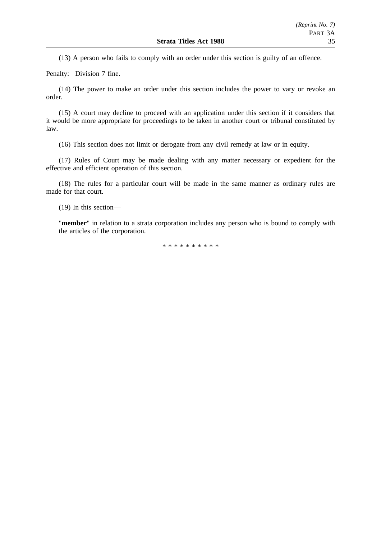(13) A person who fails to comply with an order under this section is guilty of an offence.

Penalty: Division 7 fine.

(14) The power to make an order under this section includes the power to vary or revoke an order.

(15) A court may decline to proceed with an application under this section if it considers that it would be more appropriate for proceedings to be taken in another court or tribunal constituted by law.

(16) This section does not limit or derogate from any civil remedy at law or in equity.

(17) Rules of Court may be made dealing with any matter necessary or expedient for the effective and efficient operation of this section.

(18) The rules for a particular court will be made in the same manner as ordinary rules are made for that court.

(19) In this section—

"**member**" in relation to a strata corporation includes any person who is bound to comply with the articles of the corporation.

\*\*\*\*\*\*\*\*\*\*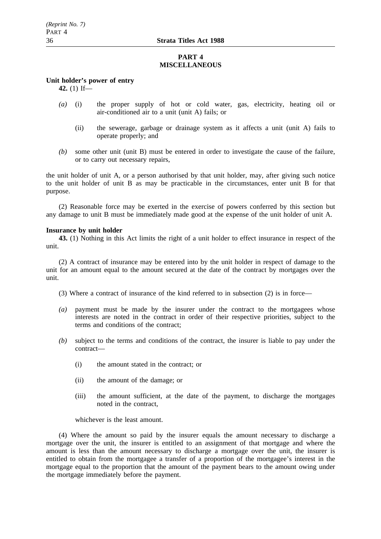## **PART 4 MISCELLANEOUS**

## **Unit holder's power of entry**

**42.** (1) If—

- *(a)* (i) the proper supply of hot or cold water, gas, electricity, heating oil or air-conditioned air to a unit (unit A) fails; or
	- (ii) the sewerage, garbage or drainage system as it affects a unit (unit A) fails to operate properly; and
- *(b)* some other unit (unit B) must be entered in order to investigate the cause of the failure, or to carry out necessary repairs,

the unit holder of unit A, or a person authorised by that unit holder, may, after giving such notice to the unit holder of unit B as may be practicable in the circumstances, enter unit B for that purpose.

(2) Reasonable force may be exerted in the exercise of powers conferred by this section but any damage to unit B must be immediately made good at the expense of the unit holder of unit A.

### **Insurance by unit holder**

**43.** (1) Nothing in this Act limits the right of a unit holder to effect insurance in respect of the unit.

(2) A contract of insurance may be entered into by the unit holder in respect of damage to the unit for an amount equal to the amount secured at the date of the contract by mortgages over the unit.

(3) Where a contract of insurance of the kind referred to in subsection (2) is in force—

- *(a)* payment must be made by the insurer under the contract to the mortgagees whose interests are noted in the contract in order of their respective priorities, subject to the terms and conditions of the contract;
- *(b)* subject to the terms and conditions of the contract, the insurer is liable to pay under the contract—
	- (i) the amount stated in the contract; or
	- (ii) the amount of the damage; or
	- (iii) the amount sufficient, at the date of the payment, to discharge the mortgages noted in the contract,

whichever is the least amount.

(4) Where the amount so paid by the insurer equals the amount necessary to discharge a mortgage over the unit, the insurer is entitled to an assignment of that mortgage and where the amount is less than the amount necessary to discharge a mortgage over the unit, the insurer is entitled to obtain from the mortgagee a transfer of a proportion of the mortgagee's interest in the mortgage equal to the proportion that the amount of the payment bears to the amount owing under the mortgage immediately before the payment.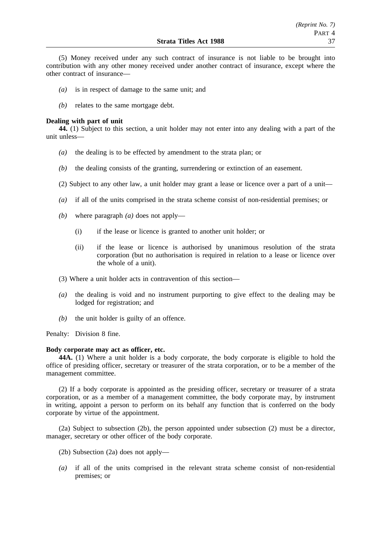(5) Money received under any such contract of insurance is not liable to be brought into contribution with any other money received under another contract of insurance, except where the other contract of insurance—

- *(a)* is in respect of damage to the same unit; and
- *(b)* relates to the same mortgage debt.

#### **Dealing with part of unit**

**44.** (1) Subject to this section, a unit holder may not enter into any dealing with a part of the unit unless—

- *(a)* the dealing is to be effected by amendment to the strata plan; or
- *(b)* the dealing consists of the granting, surrendering or extinction of an easement.
- (2) Subject to any other law, a unit holder may grant a lease or licence over a part of a unit—
- *(a)* if all of the units comprised in the strata scheme consist of non-residential premises; or
- *(b)* where paragraph *(a)* does not apply—
	- (i) if the lease or licence is granted to another unit holder; or
	- (ii) if the lease or licence is authorised by unanimous resolution of the strata corporation (but no authorisation is required in relation to a lease or licence over the whole of a unit).
- (3) Where a unit holder acts in contravention of this section—
- *(a)* the dealing is void and no instrument purporting to give effect to the dealing may be lodged for registration; and
- *(b)* the unit holder is guilty of an offence.

Penalty: Division 8 fine.

## **Body corporate may act as officer, etc.**

**44A.** (1) Where a unit holder is a body corporate, the body corporate is eligible to hold the office of presiding officer, secretary or treasurer of the strata corporation, or to be a member of the management committee.

(2) If a body corporate is appointed as the presiding officer, secretary or treasurer of a strata corporation, or as a member of a management committee, the body corporate may, by instrument in writing, appoint a person to perform on its behalf any function that is conferred on the body corporate by virtue of the appointment.

(2a) Subject to subsection (2b), the person appointed under subsection (2) must be a director, manager, secretary or other officer of the body corporate.

- (2b) Subsection (2a) does not apply—
- *(a)* if all of the units comprised in the relevant strata scheme consist of non-residential premises; or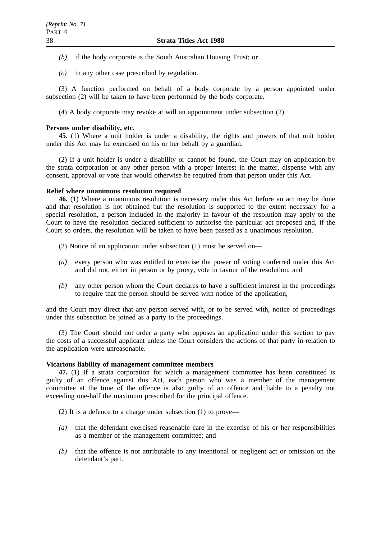- *(b)* if the body corporate is the South Australian Housing Trust; or
- *(c)* in any other case prescribed by regulation.

(3) A function performed on behalf of a body corporate by a person appointed under subsection (2) will be taken to have been performed by the body corporate.

(4) A body corporate may revoke at will an appointment under subsection (2).

### **Persons under disability, etc.**

**45.** (1) Where a unit holder is under a disability, the rights and powers of that unit holder under this Act may be exercised on his or her behalf by a guardian.

(2) If a unit holder is under a disability or cannot be found, the Court may on application by the strata corporation or any other person with a proper interest in the matter, dispense with any consent, approval or vote that would otherwise be required from that person under this Act.

### **Relief where unanimous resolution required**

**46.** (1) Where a unanimous resolution is necessary under this Act before an act may be done and that resolution is not obtained but the resolution is supported to the extent necessary for a special resolution, a person included in the majority in favour of the resolution may apply to the Court to have the resolution declared sufficient to authorise the particular act proposed and, if the Court so orders, the resolution will be taken to have been passed as a unanimous resolution.

(2) Notice of an application under subsection (1) must be served on—

- *(a)* every person who was entitled to exercise the power of voting conferred under this Act and did not, either in person or by proxy, vote in favour of the resolution; and
- *(b)* any other person whom the Court declares to have a sufficient interest in the proceedings to require that the person should be served with notice of the application,

and the Court may direct that any person served with, or to be served with, notice of proceedings under this subsection be joined as a party to the proceedings.

(3) The Court should not order a party who opposes an application under this section to pay the costs of a successful applicant unless the Court considers the actions of that party in relation to the application were unreasonable.

## **Vicarious liability of management committee members**

**47.** (1) If a strata corporation for which a management committee has been constituted is guilty of an offence against this Act, each person who was a member of the management committee at the time of the offence is also guilty of an offence and liable to a penalty not exceeding one-half the maximum prescribed for the principal offence.

- (2) It is a defence to a charge under subsection (1) to prove—
- *(a)* that the defendant exercised reasonable care in the exercise of his or her responsibilities as a member of the management committee; and
- *(b)* that the offence is not attributable to any intentional or negligent act or omission on the defendant's part.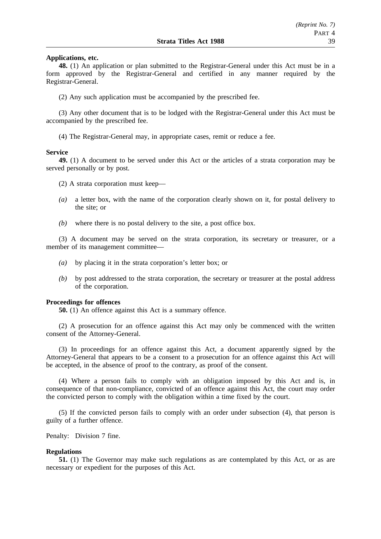#### **Applications, etc.**

**48.** (1) An application or plan submitted to the Registrar-General under this Act must be in a form approved by the Registrar-General and certified in any manner required by the Registrar-General.

(2) Any such application must be accompanied by the prescribed fee.

(3) Any other document that is to be lodged with the Registrar-General under this Act must be accompanied by the prescribed fee.

(4) The Registrar-General may, in appropriate cases, remit or reduce a fee.

#### **Service**

**49.** (1) A document to be served under this Act or the articles of a strata corporation may be served personally or by post.

- (2) A strata corporation must keep—
- *(a)* a letter box, with the name of the corporation clearly shown on it, for postal delivery to the site; or
- *(b)* where there is no postal delivery to the site, a post office box.

(3) A document may be served on the strata corporation, its secretary or treasurer, or a member of its management committee—

- *(a)* by placing it in the strata corporation's letter box; or
- *(b)* by post addressed to the strata corporation, the secretary or treasurer at the postal address of the corporation.

#### **Proceedings for offences**

**50.** (1) An offence against this Act is a summary offence.

(2) A prosecution for an offence against this Act may only be commenced with the written consent of the Attorney-General.

(3) In proceedings for an offence against this Act, a document apparently signed by the Attorney-General that appears to be a consent to a prosecution for an offence against this Act will be accepted, in the absence of proof to the contrary, as proof of the consent.

(4) Where a person fails to comply with an obligation imposed by this Act and is, in consequence of that non-compliance, convicted of an offence against this Act, the court may order the convicted person to comply with the obligation within a time fixed by the court.

(5) If the convicted person fails to comply with an order under subsection (4), that person is guilty of a further offence.

Penalty: Division 7 fine.

## **Regulations**

**51.** (1) The Governor may make such regulations as are contemplated by this Act, or as are necessary or expedient for the purposes of this Act.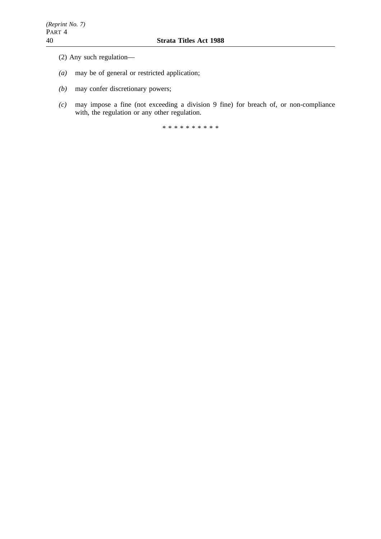- (2) Any such regulation—
- *(a)* may be of general or restricted application;
- *(b)* may confer discretionary powers;
- *(c)* may impose a fine (not exceeding a division 9 fine) for breach of, or non-compliance with, the regulation or any other regulation.

\*\*\*\*\*\*\*\*\*\*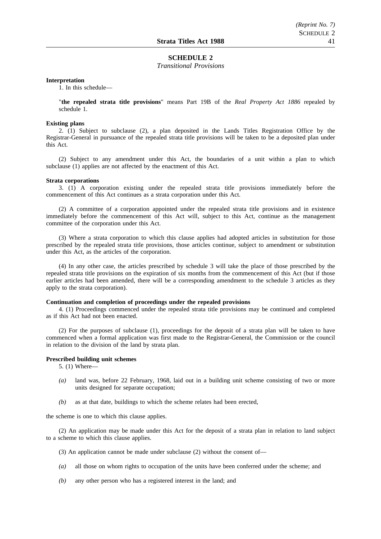#### **SCHEDULE 2**

*Transitional Provisions*

#### **Interpretation**

1. In this schedule—

"**the repealed strata title provisions**" means Part 19B of the *Real Property Act 1886* repealed by schedule 1.

#### **Existing plans**

2. (1) Subject to subclause (2), a plan deposited in the Lands Titles Registration Office by the Registrar-General in pursuance of the repealed strata title provisions will be taken to be a deposited plan under this Act.

(2) Subject to any amendment under this Act, the boundaries of a unit within a plan to which subclause (1) applies are not affected by the enactment of this Act.

#### **Strata corporations**

3. (1) A corporation existing under the repealed strata title provisions immediately before the commencement of this Act continues as a strata corporation under this Act.

(2) A committee of a corporation appointed under the repealed strata title provisions and in existence immediately before the commencement of this Act will, subject to this Act, continue as the management committee of the corporation under this Act.

(3) Where a strata corporation to which this clause applies had adopted articles in substitution for those prescribed by the repealed strata title provisions, those articles continue, subject to amendment or substitution under this Act, as the articles of the corporation.

(4) In any other case, the articles prescribed by schedule 3 will take the place of those prescribed by the repealed strata title provisions on the expiration of six months from the commencement of this Act (but if those earlier articles had been amended, there will be a corresponding amendment to the schedule 3 articles as they apply to the strata corporation).

#### **Continuation and completion of proceedings under the repealed provisions**

4. (1) Proceedings commenced under the repealed strata title provisions may be continued and completed as if this Act had not been enacted.

(2) For the purposes of subclause (1), proceedings for the deposit of a strata plan will be taken to have commenced when a formal application was first made to the Registrar-General, the Commission or the council in relation to the division of the land by strata plan.

#### **Prescribed building unit schemes**

5. (1) Where—

- *(a)* land was, before 22 February, 1968, laid out in a building unit scheme consisting of two or more units designed for separate occupation;
- *(b)* as at that date, buildings to which the scheme relates had been erected,

the scheme is one to which this clause applies.

(2) An application may be made under this Act for the deposit of a strata plan in relation to land subject to a scheme to which this clause applies.

- (3) An application cannot be made under subclause (2) without the consent of—
- *(a)* all those on whom rights to occupation of the units have been conferred under the scheme; and
- *(b)* any other person who has a registered interest in the land; and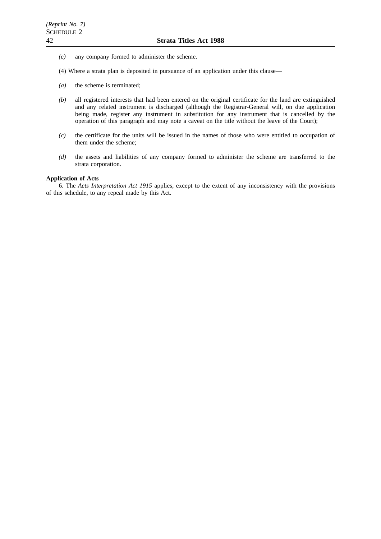- *(c)* any company formed to administer the scheme.
- (4) Where a strata plan is deposited in pursuance of an application under this clause—
- *(a)* the scheme is terminated;
- *(b)* all registered interests that had been entered on the original certificate for the land are extinguished and any related instrument is discharged (although the Registrar-General will, on due application being made, register any instrument in substitution for any instrument that is cancelled by the operation of this paragraph and may note a caveat on the title without the leave of the Court);
- *(c)* the certificate for the units will be issued in the names of those who were entitled to occupation of them under the scheme;
- *(d)* the assets and liabilities of any company formed to administer the scheme are transferred to the strata corporation.

## **Application of Acts**

6. The *Acts Interpretation Act 1915* applies, except to the extent of any inconsistency with the provisions of this schedule, to any repeal made by this Act.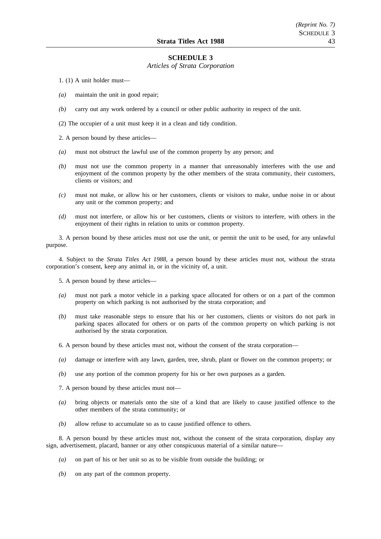#### **SCHEDULE 3**

#### *Articles of Strata Corporation*

1. (1) A unit holder must—

- *(a)* maintain the unit in good repair;
- *(b)* carry out any work ordered by a council or other public authority in respect of the unit.

(2) The occupier of a unit must keep it in a clean and tidy condition.

2. A person bound by these articles—

- *(a)* must not obstruct the lawful use of the common property by any person; and
- *(b)* must not use the common property in a manner that unreasonably interferes with the use and enjoyment of the common property by the other members of the strata community, their customers, clients or visitors; and
- *(c)* must not make, or allow his or her customers, clients or visitors to make, undue noise in or about any unit or the common property; and
- *(d)* must not interfere, or allow his or her customers, clients or visitors to interfere, with others in the enjoyment of their rights in relation to units or common property.

3. A person bound by these articles must not use the unit, or permit the unit to be used, for any unlawful purpose.

4. Subject to the *Strata Titles Act 1988*, a person bound by these articles must not, without the strata corporation's consent, keep any animal in, or in the vicinity of, a unit.

5. A person bound by these articles—

- *(a)* must not park a motor vehicle in a parking space allocated for others or on a part of the common property on which parking is not authorised by the strata corporation; and
- *(b)* must take reasonable steps to ensure that his or her customers, clients or visitors do not park in parking spaces allocated for others or on parts of the common property on which parking is not authorised by the strata corporation.
- 6. A person bound by these articles must not, without the consent of the strata corporation—
- *(a)* damage or interfere with any lawn, garden, tree, shrub, plant or flower on the common property; or
- *(b)* use any portion of the common property for his or her own purposes as a garden.
- 7. A person bound by these articles must not—
- *(a)* bring objects or materials onto the site of a kind that are likely to cause justified offence to the other members of the strata community; or
- *(b)* allow refuse to accumulate so as to cause justified offence to others.

8. A person bound by these articles must not, without the consent of the strata corporation, display any sign, advertisement, placard, banner or any other conspicuous material of a similar nature—

- *(a)* on part of his or her unit so as to be visible from outside the building; or
- *(b)* on any part of the common property.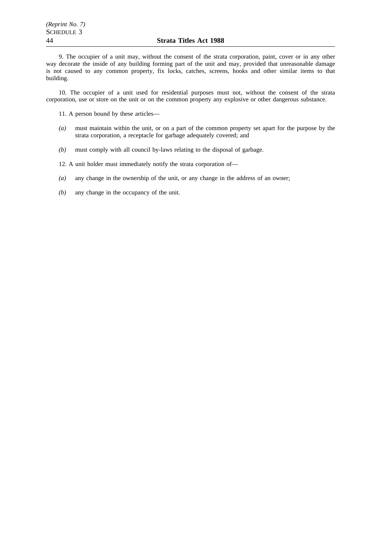9. The occupier of a unit may, without the consent of the strata corporation, paint, cover or in any other way decorate the inside of any building forming part of the unit and may, provided that unreasonable damage is not caused to any common property, fix locks, catches, screens, hooks and other similar items to that building.

10. The occupier of a unit used for residential purposes must not, without the consent of the strata corporation, use or store on the unit or on the common property any explosive or other dangerous substance.

11. A person bound by these articles—

- *(a)* must maintain within the unit, or on a part of the common property set apart for the purpose by the strata corporation, a receptacle for garbage adequately covered; and
- *(b)* must comply with all council by-laws relating to the disposal of garbage.

12. A unit holder must immediately notify the strata corporation of—

- *(a)* any change in the ownership of the unit, or any change in the address of an owner;
- *(b)* any change in the occupancy of the unit.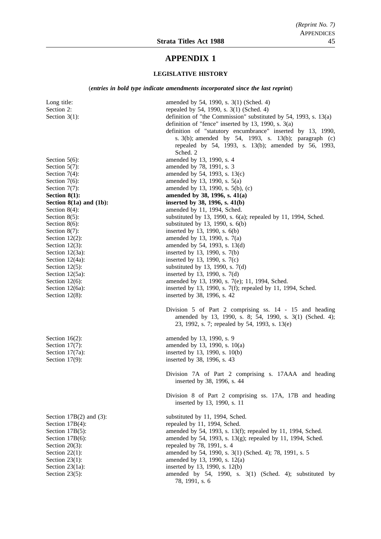## **APPENDIX 1**

#### **LEGISLATIVE HISTORY**

(*entries in bold type indicate amendments incorporated since the last reprint*)

Long title: amended by 54, 1990, s. 3(1) (Sched. 4) Section 2: repealed by 54, 1990, s. 3(1) (Sched. 4) Section 3(1): definition of "the Commission" substituted by 54, 1993, s. 13(a) definition of "fence" inserted by 13, 1990, s. 3(a) definition of "statutory encumbrance" inserted by 13, 1990, s. 3(b); amended by 54, 1993, s. 13(b); paragraph (c) repealed by 54, 1993, s. 13(b); amended by 56, 1993, Sched. 2 Section 5(6): amended by 13, 1990, s. 4 Section 5(7): amended by 78, 1991, s. 3 Section 7(4): amended by 54, 1993, s. 13(c) Section  $7(6)$ : amended by 13, 1990, s.  $5(a)$ Section 7(7): amended by 13, 1990, s. 5(b), (c) **Section 8(1):** amended by 38, 1996, s. 41(a) **Section 8(1a) and (1b):** inserted by 38, 1996, s. 41(b) Section 8(4): amended by 11, 1994, Sched. Section 8(5): substituted by 13, 1990, s. 6(a); repealed by 11, 1994, Sched. Section  $8(6)$ : substituted by 13, 1990, s.  $6(b)$ Section 8(7): inserted by 13, 1990, s. 6(b) Section 12(2): amended by 13, 1990, s.  $7(a)$ Section 12(3): amended by 54, 1993, s. 13(d) Section 12(3a): inserted by 13, 1990, s. 7(b) Section 12(4a): inserted by 13, 1990, s. 7(c)<br>Section 12(5): substituted by 13, 1990, s. 7 substituted by 13, 1990, s.  $7(d)$ Section 12(5a): inserted by 13, 1990, s. 7(d) Section 12(6): amended by 13, 1990, s. 7(e); 11, 1994, Sched. Section 12(6a): inserted by 13, 1990, s. 7(f); repealed by 11, 1994, Sched. Section 12(8): inserted by 38, 1996, s. 42 Division 5 of Part 2 comprising ss. 14 - 15 and heading amended by 13, 1990, s. 8; 54, 1990, s. 3(1) (Sched. 4); 23, 1992, s. 7; repealed by 54, 1993, s. 13(e) Section 16(2): amended by 13, 1990, s. 9 Section 17(7): amended by 13, 1990, s. 10(a) Section 17(7a): inserted by 13, 1990, s. 10(b) Section 17(9): inserted by 38, 1996, s. 43 Division 7A of Part 2 comprising s. 17AAA and heading inserted by 38, 1996, s. 44 Division 8 of Part 2 comprising ss. 17A, 17B and heading inserted by 13, 1990, s. 11 Section 17B(2) and (3): substituted by 11, 1994, Sched. Section 17B(4): repealed by 11, 1994, Sched. Section 17B(5): amended by 54, 1993, s. 13(f); repealed by 11, 1994, Sched. Section 17B(6): amended by 54, 1993, s. 13(g); repealed by 11, 1994, Sched. Section 20(3): repealed by 78, 1991, s. 4 Section 22(1): amended by 54, 1990, s. 3(1) (Sched. 4); 78, 1991, s. 5 Section 23(1): amended by 13, 1990, s. 12(a) Section 23(1a): inserted by 13, 1990, s. 12(b) Section 23(5): amended by 54, 1990, s. 3(1) (Sched. 4); substituted by

78, 1991, s. 6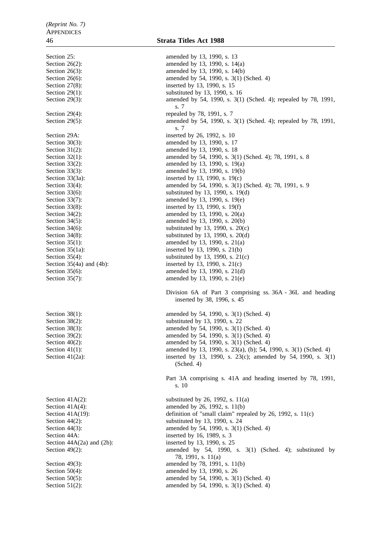Section 25: amended by 13, 1990, s. 13 Section 26(2): amended by 13, 1990, s. 14(a) Section 26(3): amended by 13, 1990, s. 14(b) Section 26(6): amended by 54, 1990, s. 3(1) (Sched. 4) Section 27(8): inserted by 13, 1990, s. 15 Section 29(1): substituted by 13, 1990, s. 16 Section 29(3): amended by 54, 1990, s. 3(1) (Sched. 4); repealed by 78, 1991, s. 7 Section 29(4): repealed by 78, 1991, s. 7 Section 29(5): amended by 54, 1990, s. 3(1) (Sched. 4); repealed by 78, 1991, s. 7 Section 29A: inserted by 26, 1992, s. 10 Section 30(3): amended by 13, 1990, s. 17 Section 31(2): amended by 13, 1990, s. 18 Section 32(1): amended by 54, 1990, s. 3(1) (Sched. 4); 78, 1991, s. 8 Section 33(2): amended by 13, 1990, s. 19(a) Section 33(3): amended by 13, 1990, s. 19(b) Section 33(3a): inserted by 13, 1990, s. 19(c)<br>Section 33(4): amended by 54, 1990, s. 3(1) amended by 54, 1990, s. 3(1) (Sched. 4); 78, 1991, s. 9 Section 33(6): substituted by 13, 1990, s. 19(d) Section 33(7): amended by 13, 1990, s. 19(e) Section 33(8): inserted by 13, 1990, s. 19(f) Section 34(2): amended by 13, 1990, s. 20(a) Section 34(5): amended by 13, 1990, s. 20(b) Section 34(6): substituted by 13, 1990, s.  $20(c)$ Section 34(8): substituted by 13, 1990, s.  $20(d)$ Section 35(1): amended by 13, 1990, s. 21(a) Section 35(1a): inserted by 13, 1990, s. 21(b) Section 35(4): substituted by 13, 1990, s. 21(c) Section  $35(4a)$  and  $(4b)$ : inserted by 13, 1990, s.  $21(c)$ Section 35(6): amended by 13, 1990, s. 21(d) Section 35(7): amended by 13, 1990, s. 21(e) Division 6A of Part 3 comprising ss. 36A - 36L and heading inserted by 38, 1996, s. 45 Section 38(1): amended by 54, 1990, s. 3(1) (Sched. 4) Section 38(2): substituted by 13, 1990, s. 22 Section 38(3): amended by 54, 1990, s. 3(1) (Sched. 4) Section 39(2): amended by 54, 1990, s. 3(1) (Sched. 4) Section 40(2): amended by 54, 1990, s. 3(1) (Sched. 4) Section 41(1): amended by 13, 1990, s. 23(a), (b); 54, 1990, s. 3(1) (Sched. 4) Section 41(2a): inserted by 13, 1990, s. 23(c); amended by 54, 1990, s. 3(1) (Sched. 4) Part 3A comprising s. 41A and heading inserted by 78, 1991, s. 10 Section 41A(2): substituted by 26, 1992, s.  $11(a)$ Section 41A(4): amended by 26, 1992, s. 11(b) Section 41A(19): definition of "small claim" repealed by 26, 1992, s. 11(c) Section 44(2): substituted by 13, 1990, s. 24 Section 44(3): amended by 54, 1990, s. 3(1) (Sched. 4) Section 44A: inserted by 16, 1989, s. 3 Section  $44A(2a)$  and  $(2b)$ : inserted by 13, 1990, s. 25 Section 49(2): amended by 54, 1990, s. 3(1) (Sched. 4); substituted by 78, 1991, s. 11(a) Section 49(3): amended by 78, 1991, s. 11(b) Section 50(4): amended by 13, 1990, s. 26 Section 50(5): amended by 54, 1990, s. 3(1) (Sched. 4) Section 51(2): amended by 54, 1990, s. 3(1) (Sched. 4)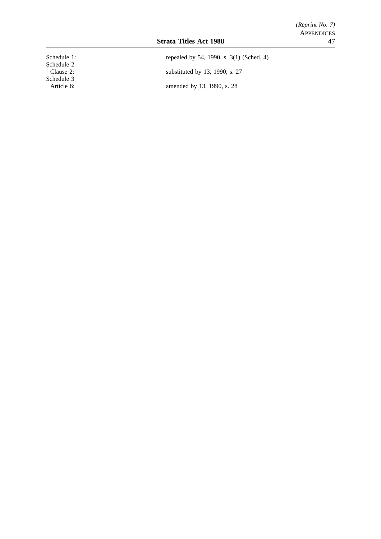| Schedule 1: |
|-------------|
| Schedule 2  |
| Clause 2:   |
| Schedule 3  |
| Article 6:  |

Schedule 1: repealed by 54, 1990, s. 3(1) (Sched. 4) substituted by 13, 1990, s. 27 amended by 13, 1990, s. 28